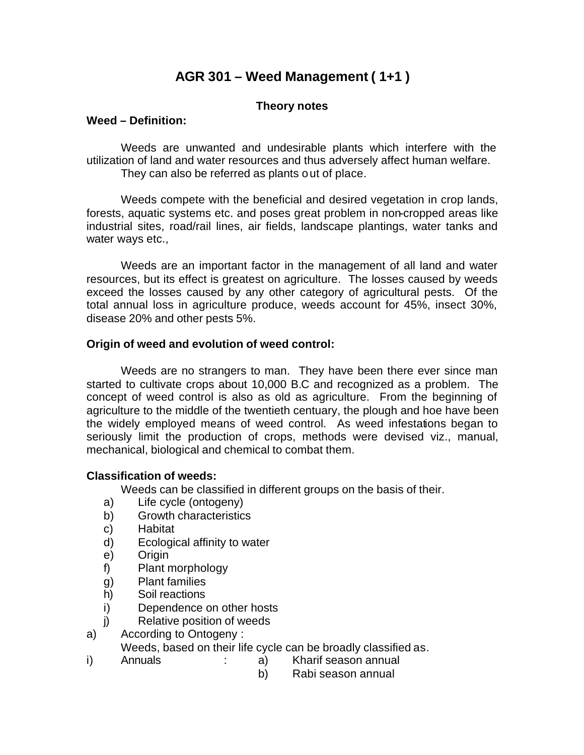# **AGR 301 – Weed Management ( 1+1 )**

### **Theory notes**

#### **Weed – Definition:**

Weeds are unwanted and undesirable plants which interfere with the utilization of land and water resources and thus adversely affect human welfare. They can also be referred as plants out of place.

Weeds compete with the beneficial and desired vegetation in crop lands, forests, aquatic systems etc. and poses great problem in non-cropped areas like industrial sites, road/rail lines, air fields, landscape plantings, water tanks and water ways etc.,

Weeds are an important factor in the management of all land and water resources, but its effect is greatest on agriculture. The losses caused by weeds exceed the losses caused by any other category of agricultural pests. Of the total annual loss in agriculture produce, weeds account for 45%, insect 30%, disease 20% and other pests 5%.

#### **Origin of weed and evolution of weed control:**

Weeds are no strangers to man. They have been there ever since man started to cultivate crops about 10,000 B.C and recognized as a problem. The concept of weed control is also as old as agriculture. From the beginning of agriculture to the middle of the twentieth centuary, the plough and hoe have been the widely employed means of weed control. As weed infestations began to seriously limit the production of crops, methods were devised viz., manual, mechanical, biological and chemical to combat them.

#### **Classification of weeds:**

Weeds can be classified in different groups on the basis of their.

- a) Life cycle (ontogeny)
- b) Growth characteristics
- c) Habitat
- d) Ecological affinity to water
- e) Origin
- f) Plant morphology
- g) Plant families
- h) Soil reactions
- i) Dependence on other hosts
- j) Relative position of weeds
- a) According to Ontogeny :

Weeds, based on their life cycle can be broadly classified as.

- i) Annuals : a) Kharif season annual
	-
	- b) Rabi season annual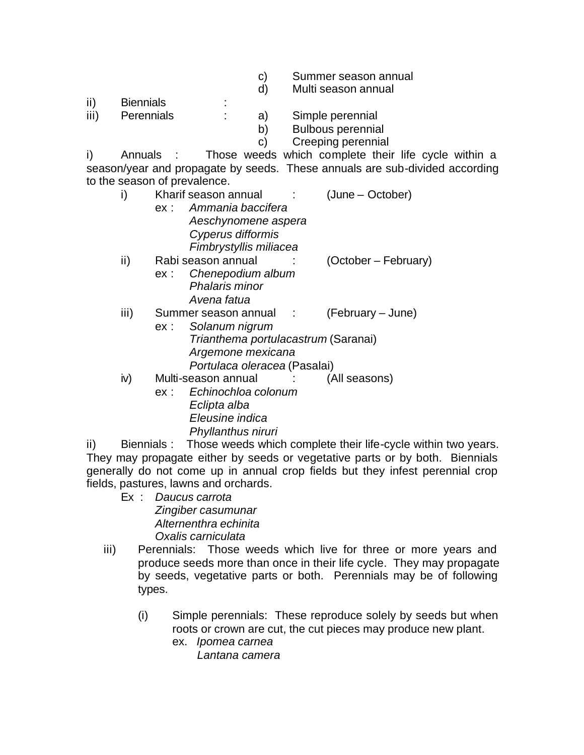- c) Summer season annual
- d) Multi season annual
- ii) Biennials :
- iii) Perennials : a) Simple perennial
	- b) Bulbous perennial
	- c) Creeping perennial

i) Annuals : Those weeds which complete their life cycle within a season/year and propagate by seeds. These annuals are sub-divided according to the season of prevalence.

|      | (June – October)<br>Kharif season annual    |
|------|---------------------------------------------|
|      | Ammania baccifera<br>ex:                    |
|      | Aeschynomene aspera                         |
|      | Cyperus difformis                           |
|      | Fimbrystyllis miliacea                      |
| ii)  | Rabi season annual<br>(October – February)  |
|      | Chenepodium album<br>ex:                    |
|      | Phalaris minor                              |
|      | Avena fatua                                 |
| iii) | (February – June)<br>Summer season annual : |
|      | Solanum nigrum<br>ex:                       |
|      | Trianthema portulacastrum (Saranai)         |
|      | Argemone mexicana                           |
|      | Portulaca oleracea (Pasalai)                |
| iv)  | Multi-season annual<br>(All seasons)        |
|      | Echinochloa colonum<br>ex:                  |
|      | Eclipta alba                                |

ii) Biennials : Those weeds which complete their life-cycle within two years. They may propagate either by seeds or vegetative parts or by both. Biennials generally do not come up in annual crop fields but they infest perennial crop fields, pastures, lawns and orchards.

- Ex : *Daucus carrota Zingiber casumunar Alternenthra echinita Oxalis carniculata*
- iii) Perennials: Those weeds which live for three or more years and produce seeds more than once in their life cycle. They may propagate by seeds, vegetative parts or both. Perennials may be of following types.
	- (i) Simple perennials: These reproduce solely by seeds but when roots or crown are cut, the cut pieces may produce new plant. ex. *Ipomea carnea*
		- *Lantana camera*

*Eleusine indica Phyllanthus niruri*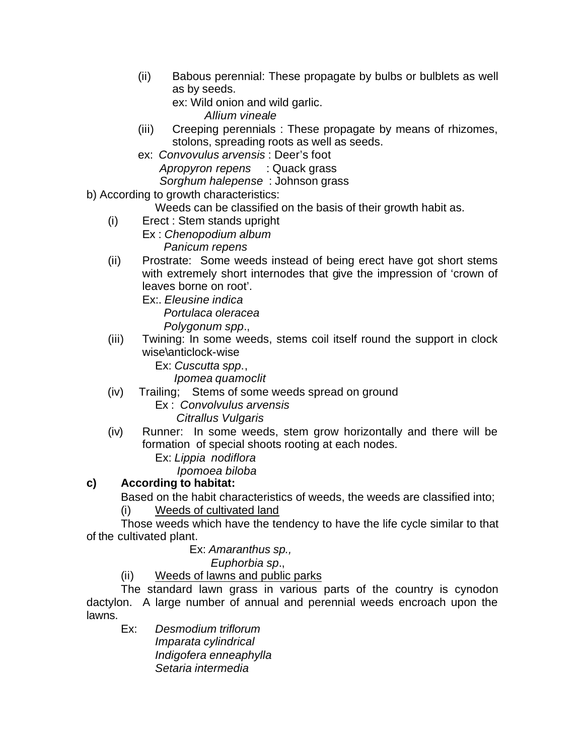(ii) Babous perennial: These propagate by bulbs or bulblets as well as by seeds.

ex: Wild onion and wild garlic.

- *Allium vineale*
- (iii) Creeping perennials : These propagate by means of rhizomes, stolons, spreading roots as well as seeds.
- ex: *Convovulus arvensis* : Deer's foot *Apropyron repens* : Quack grass *Sorghum halepense* : Johnson grass
- b) According to growth characteristics:
	- Weeds can be classified on the basis of their growth habit as.
	- (i) Erect : Stem stands upright
		- Ex : *Chenopodium album Panicum repens*
	- (ii) Prostrate: Some weeds instead of being erect have got short stems with extremely short internodes that give the impression of 'crown of leaves borne on root'.
		- Ex:. *Eleusine indica Portulaca oleracea Polygonum spp*.,
	- (iii) Twining: In some weeds, stems coil itself round the support in clock wise\anticlock-wise
		- Ex: *Cuscutta spp*.,
			- *Ipomea quamoclit*
	- (iv) Trailing; Stems of some weeds spread on ground
		- Ex : *Convolvulus arvensis Citrallus Vulgaris*
	- (iv) Runner: In some weeds, stem grow horizontally and there will be formation of special shoots rooting at each nodes.
		- Ex: *Lippia nodiflora*
		- *Ipomoea biloba*

## **c) According to habitat:**

Based on the habit characteristics of weeds, the weeds are classified into;

(i) Weeds of cultivated land

Those weeds which have the tendency to have the life cycle similar to that of the cultivated plant.

## Ex: *Amaranthus sp.,*

 *Euphorbia sp*.,

(ii) Weeds of lawns and public parks

The standard lawn grass in various parts of the country is cynodon dactylon. A large number of annual and perennial weeds encroach upon the lawns.

Ex: *Desmodium triflorum Imparata cylindrical Indigofera enneaphylla Setaria intermedia*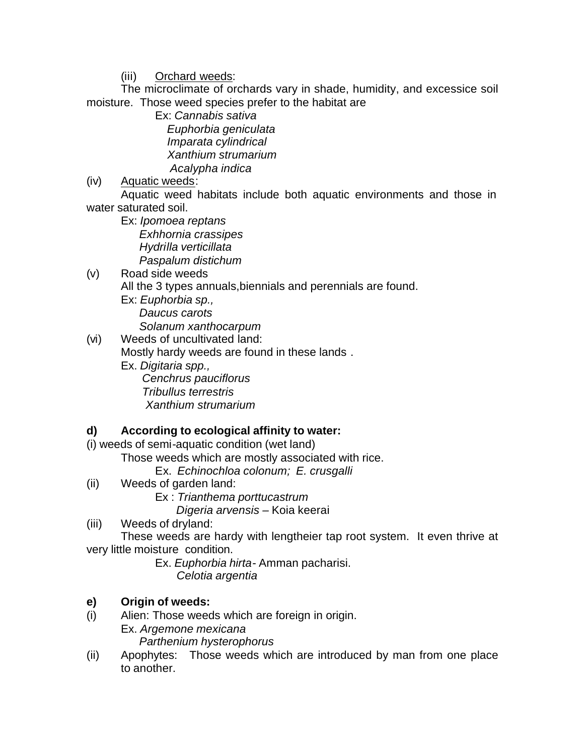(iii) Orchard weeds:

The microclimate of orchards vary in shade, humidity, and excessice soil moisture. Those weed species prefer to the habitat are

Ex: *Cannabis sativa Euphorbia geniculata Imparata cylindrical Xanthium strumarium Acalypha indica*

(iv) Aquatic weeds:

Aquatic weed habitats include both aquatic environments and those in water saturated soil.

Ex: *Ipomoea reptans Exhhornia crassipes Hydrilla verticillata Paspalum distichum*

## (v) Road side weeds All the 3 types annuals,biennials and perennials are found.

Ex: *Euphorbia sp., Daucus carots Solanum xanthocarpum*

(vi) Weeds of uncultivated land: Mostly hardy weeds are found in these lands .

Ex. *Digitaria spp., Cenchrus pauciflorus Tribullus terrestris Xanthium strumarium*

## **d) According to ecological affinity to water:**

(i) weeds of semi-aquatic condition (wet land)

Those weeds which are mostly associated with rice.

Ex. *Echinochloa colonum; E. crusgalli*

- (ii) Weeds of garden land:
	- Ex : *Trianthema porttucastrum Digeria arvensis –* Koia keerai
- (iii) Weeds of dryland:

These weeds are hardy with lengtheier tap root system. It even thrive at very little moisture condition.

Ex. *Euphorbia hirta*- Amman pacharisi. *Celotia argentia*

## **e) Origin of weeds:**

(i) Alien: Those weeds which are foreign in origin.

Ex. *Argemone mexicana*

 *Parthenium hysterophorus*

(ii) Apophytes: Those weeds which are introduced by man from one place to another.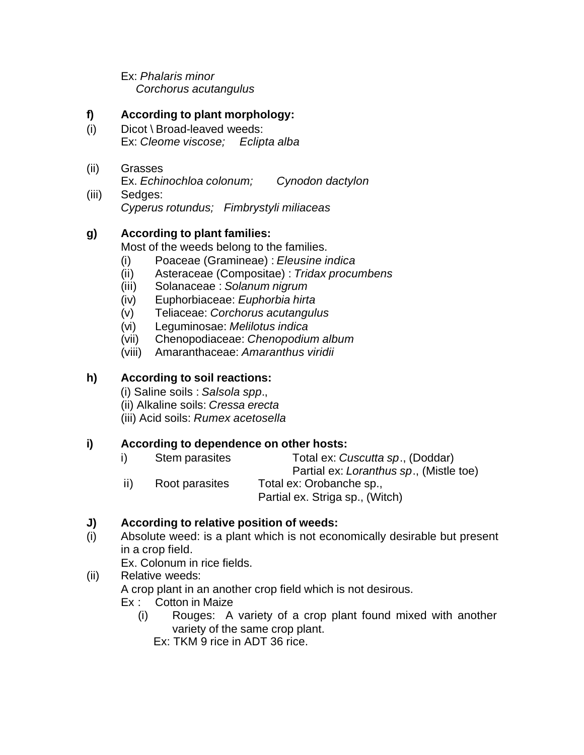Ex: *Phalaris minor Corchorus acutangulus*

### **f) According to plant morphology:**

- (i) Dicot \ Broad-leaved weeds: Ex: *Cleome viscose; Eclipta alba*
- (ii) Grasses Ex. *Echinochloa colonum; Cynodon dactylon*
- (iii) Sedges: *Cyperus rotundus; Fimbrystyli miliaceas*

## **g) According to plant families:**

Most of the weeds belong to the families.

- (i) Poaceae (Gramineae) : *Eleusine indica*
- (ii) Asteraceae (Compositae) : *Tridax procumbens*
- (iii) Solanaceae : *Solanum nigrum*
- (iv) Euphorbiaceae: *Euphorbia hirta*
- (v) Teliaceae: *Corchorus acutangulus*
- (vi) Leguminosae: *Melilotus indica*
- (vii) Chenopodiaceae: *Chenopodium album*
- (viii) Amaranthaceae: *Amaranthus viridii*

### **h) According to soil reactions:**

(i) Saline soils : *Salsola spp*.,

(ii) Alkaline soils: *Cressa erecta*

(iii) Acid soils: *Rumex acetosella*

### **i) According to dependence on other hosts:**

- i) Stem parasites Total ex: *Cuscutta sp*., (Doddar) Partial ex: *Loranthus sp*., (Mistle toe)
- ii) Root parasites Total ex: Orobanche sp., Partial ex. Striga sp., (Witch)

## **J) According to relative position of weeds:**

(i) Absolute weed: is a plant which is not economically desirable but present in a crop field.

Ex. Colonum in rice fields.

## (ii) Relative weeds: A crop plant in an another crop field which is not desirous.

- Ex : Cotton in Maize
	- (i) Rouges: A variety of a crop plant found mixed with another variety of the same crop plant.
		- Ex: TKM 9 rice in ADT 36 rice.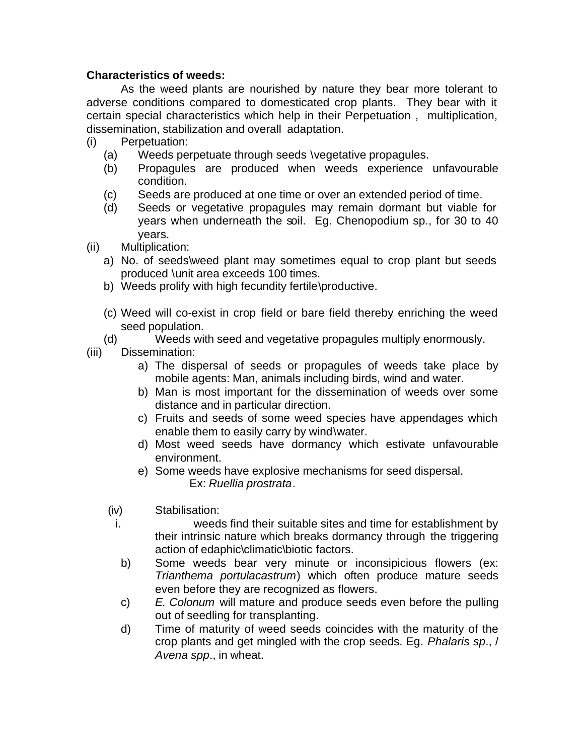#### **Characteristics of weeds:**

As the weed plants are nourished by nature they bear more tolerant to adverse conditions compared to domesticated crop plants. They bear with it certain special characteristics which help in their Perpetuation , multiplication, dissemination, stabilization and overall adaptation.

- (i) Perpetuation:
	- (a) Weeds perpetuate through seeds \vegetative propagules.
	- (b) Propagules are produced when weeds experience unfavourable condition.
	- (c) Seeds are produced at one time or over an extended period of time.
	- (d) Seeds or vegetative propagules may remain dormant but viable for years when underneath the soil. Eg. Chenopodium sp., for 30 to 40 years.
- (ii) Multiplication:
	- a) No. of seeds\weed plant may sometimes equal to crop plant but seeds produced \unit area exceeds 100 times.
	- b) Weeds prolify with high fecundity fertile\productive.
	- (c) Weed will co-exist in crop field or bare field thereby enriching the weed seed population.
	- (d) Weeds with seed and vegetative propagules multiply enormously.
- (iii) Dissemination:
	- a) The dispersal of seeds or propagules of weeds take place by mobile agents: Man, animals including birds, wind and water.
	- b) Man is most important for the dissemination of weeds over some distance and in particular direction.
	- c) Fruits and seeds of some weed species have appendages which enable them to easily carry by wind\water.
	- d) Most weed seeds have dormancy which estivate unfavourable environment.
	- e) Some weeds have explosive mechanisms for seed dispersal. Ex: *Ruellia prostrata*.
	- (iv) Stabilisation:
		- i. weeds find their suitable sites and time for establishment by their intrinsic nature which breaks dormancy through the triggering action of edaphic\climatic\biotic factors.
		- b) Some weeds bear very minute or inconsipicious flowers (ex: *Trianthema portulacastrum*) which often produce mature seeds even before they are recognized as flowers.
		- c) *E. Colonum* will mature and produce seeds even before the pulling out of seedling for transplanting.
		- d) Time of maturity of weed seeds coincides with the maturity of the crop plants and get mingled with the crop seeds. Eg. *Phalaris sp*., / *Avena spp*., in wheat.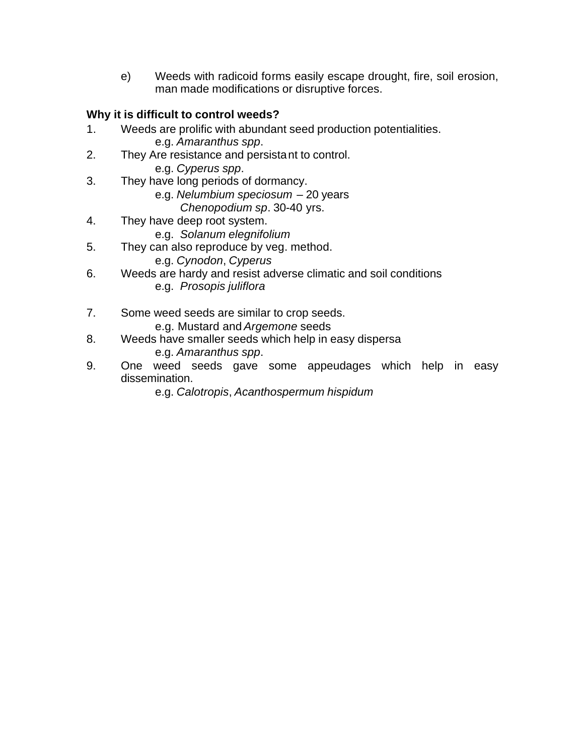e) Weeds with radicoid forms easily escape drought, fire, soil erosion, man made modifications or disruptive forces.

## **Why it is difficult to control weeds?**

- 1. Weeds are prolific with abundant seed production potentialities. e.g. *Amaranthus spp*.
- 2. They Are resistance and persistant to control. e.g. *Cyperus spp*.
- 3. They have long periods of dormancy.
	- e.g. *Nelumbium speciosum* 20 years
		- *Chenopodium sp*. 30-40 yrs.
- 4. They have deep root system.
	- e.g. *Solanum elegnifolium*
- 5. They can also reproduce by veg. method.
	- e.g. *Cynodon*, *Cyperus*
- 6. Weeds are hardy and resist adverse climatic and soil conditions e.g. *Prosopis juliflora*
- 7. Some weed seeds are similar to crop seeds. e.g. Mustard and *Argemone* seeds
- 8. Weeds have smaller seeds which help in easy dispersa e.g. *Amaranthus spp*.
- 9. One weed seeds gave some appeudages which help in easy dissemination.

e.g. *Calotropis*, *Acanthospermum hispidum*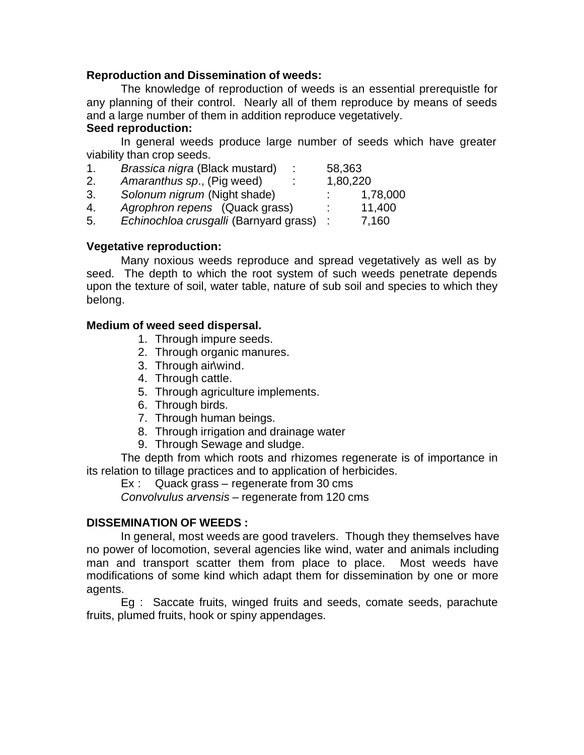#### **Reproduction and Dissemination of weeds:**

The knowledge of reproduction of weeds is an essential prerequistle for any planning of their control. Nearly all of them reproduce by means of seeds and a large number of them in addition reproduce vegetatively.

#### **Seed reproduction:**

In general weeds produce large number of seeds which have greater viability than crop seeds.

| 1. | Brassica nigra (Black mustard)         | 58,363   |          |
|----|----------------------------------------|----------|----------|
| 2. | Amaranthus sp., (Pig weed)             | 1,80,220 |          |
| 3. | Solonum nigrum (Night shade)           |          | 1,78,000 |
| 4. | Agrophron repens (Quack grass)         |          | 11,400   |
| 5. | Echinochloa crusgalli (Barnyard grass) |          | 7,160    |

#### **Vegetative reproduction:**

Many noxious weeds reproduce and spread vegetatively as well as by seed. The depth to which the root system of such weeds penetrate depends upon the texture of soil, water table, nature of sub soil and species to which they belong.

#### **Medium of weed seed dispersal.**

- 1. Through impure seeds.
- 2. Through organic manures.
- 3. Through air\wind.
- 4. Through cattle.
- 5. Through agriculture implements.
- 6. Through birds.
- 7. Through human beings.
- 8. Through irrigation and drainage water
- 9. Through Sewage and sludge.

The depth from which roots and rhizomes regenerate is of importance in its relation to tillage practices and to application of herbicides.

Ex : Quack grass – regenerate from 30 cms

*Convolvulus arvensis* – regenerate from 120 cms

#### **DISSEMINATION OF WEEDS :**

In general, most weeds are good travelers. Though they themselves have no power of locomotion, several agencies like wind, water and animals including man and transport scatter them from place to place. Most weeds have modifications of some kind which adapt them for dissemination by one or more agents.

Eg : Saccate fruits, winged fruits and seeds, comate seeds, parachute fruits, plumed fruits, hook or spiny appendages.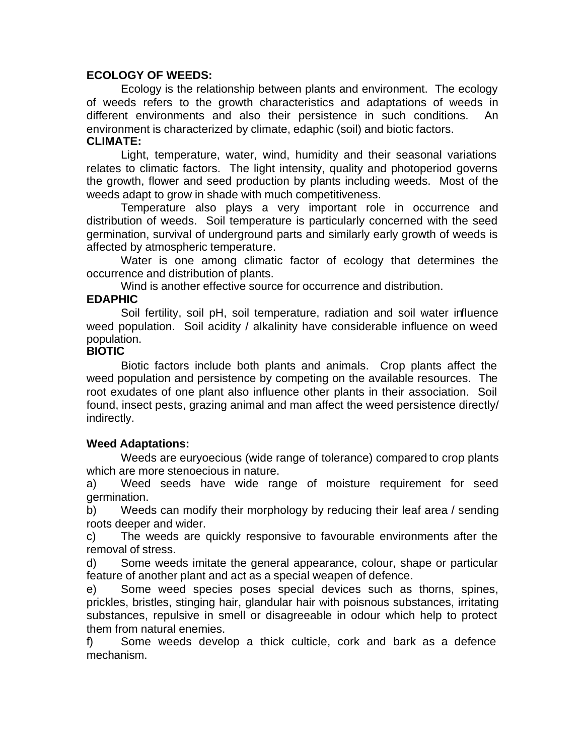#### **ECOLOGY OF WEEDS:**

Ecology is the relationship between plants and environment. The ecology of weeds refers to the growth characteristics and adaptations of weeds in different environments and also their persistence in such conditions. An environment is characterized by climate, edaphic (soil) and biotic factors.

#### **CLIMATE:**

Light, temperature, water, wind, humidity and their seasonal variations relates to climatic factors. The light intensity, quality and photoperiod governs the growth, flower and seed production by plants including weeds. Most of the weeds adapt to grow in shade with much competitiveness.

Temperature also plays a very important role in occurrence and distribution of weeds. Soil temperature is particularly concerned with the seed germination, survival of underground parts and similarly early growth of weeds is affected by atmospheric temperature.

Water is one among climatic factor of ecology that determines the occurrence and distribution of plants.

Wind is another effective source for occurrence and distribution.

#### **EDAPHIC**

Soil fertility, soil pH, soil temperature, radiation and soil water influence weed population. Soil acidity / alkalinity have considerable influence on weed population.

#### **BIOTIC**

Biotic factors include both plants and animals. Crop plants affect the weed population and persistence by competing on the available resources. The root exudates of one plant also influence other plants in their association. Soil found, insect pests, grazing animal and man affect the weed persistence directly/ indirectly.

#### **Weed Adaptations:**

Weeds are euryoecious (wide range of tolerance) compared to crop plants which are more stenoecious in nature.

a) Weed seeds have wide range of moisture requirement for seed germination.

b) Weeds can modify their morphology by reducing their leaf area / sending roots deeper and wider.

c) The weeds are quickly responsive to favourable environments after the removal of stress.

d) Some weeds imitate the general appearance, colour, shape or particular feature of another plant and act as a special weapen of defence.

e) Some weed species poses special devices such as thorns, spines, prickles, bristles, stinging hair, glandular hair with poisnous substances, irritating substances, repulsive in smell or disagreeable in odour which help to protect them from natural enemies.

f) Some weeds develop a thick culticle, cork and bark as a defence mechanism.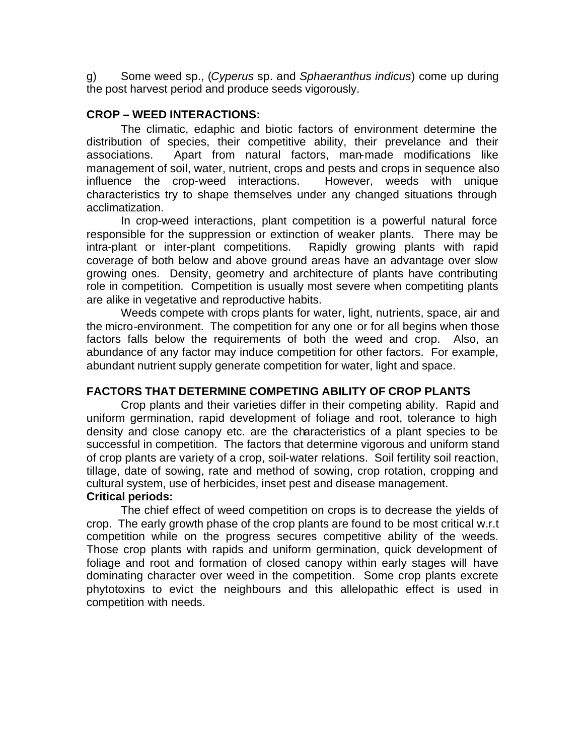g) Some weed sp., (*Cyperus* sp. and *Sphaeranthus indicus*) come up during the post harvest period and produce seeds vigorously.

#### **CROP – WEED INTERACTIONS:**

The climatic, edaphic and biotic factors of environment determine the distribution of species, their competitive ability, their prevelance and their associations. Apart from natural factors, man-made modifications like management of soil, water, nutrient, crops and pests and crops in sequence also influence the crop-weed interactions. However, weeds with unique characteristics try to shape themselves under any changed situations through acclimatization.

In crop-weed interactions, plant competition is a powerful natural force responsible for the suppression or extinction of weaker plants. There may be intra-plant or inter-plant competitions. Rapidly growing plants with rapid coverage of both below and above ground areas have an advantage over slow growing ones. Density, geometry and architecture of plants have contributing role in competition. Competition is usually most severe when competiting plants are alike in vegetative and reproductive habits.

Weeds compete with crops plants for water, light, nutrients, space, air and the micro-environment. The competition for any one or for all begins when those factors falls below the requirements of both the weed and crop. Also, an abundance of any factor may induce competition for other factors. For example, abundant nutrient supply generate competition for water, light and space.

#### **FACTORS THAT DETERMINE COMPETING ABILITY OF CROP PLANTS**

Crop plants and their varieties differ in their competing ability. Rapid and uniform germination, rapid development of foliage and root, tolerance to high density and close canopy etc. are the characteristics of a plant species to be successful in competition. The factors that determine vigorous and uniform stand of crop plants are variety of a crop, soil-water relations. Soil fertility soil reaction, tillage, date of sowing, rate and method of sowing, crop rotation, cropping and cultural system, use of herbicides, inset pest and disease management. **Critical periods:**

The chief effect of weed competition on crops is to decrease the yields of crop. The early growth phase of the crop plants are found to be most critical w.r.t competition while on the progress secures competitive ability of the weeds. Those crop plants with rapids and uniform germination, quick development of foliage and root and formation of closed canopy within early stages will have dominating character over weed in the competition. Some crop plants excrete phytotoxins to evict the neighbours and this allelopathic effect is used in competition with needs.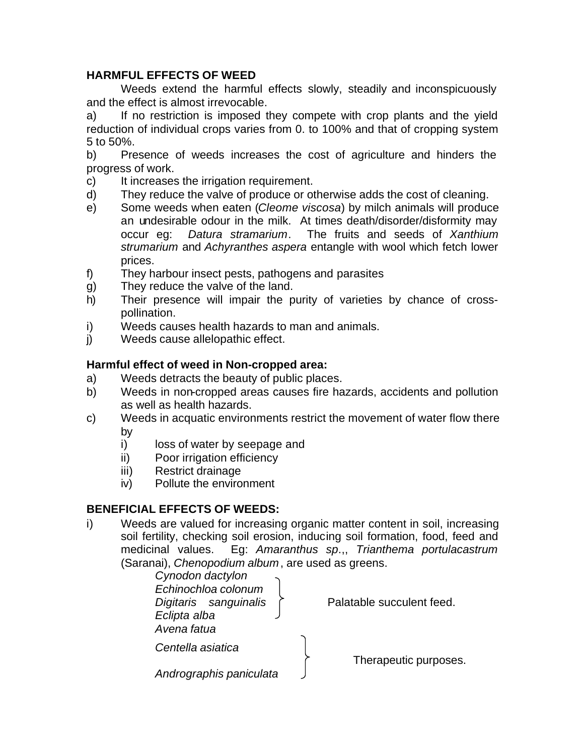### **HARMFUL EFFECTS OF WEED**

Weeds extend the harmful effects slowly, steadily and inconspicuously and the effect is almost irrevocable.

a) If no restriction is imposed they compete with crop plants and the yield reduction of individual crops varies from 0. to 100% and that of cropping system 5 to 50%.

b) Presence of weeds increases the cost of agriculture and hinders the progress of work.

- c) It increases the irrigation requirement.
- d) They reduce the valve of produce or otherwise adds the cost of cleaning.
- e) Some weeds when eaten (*Cleome viscosa*) by milch animals will produce an undesirable odour in the milk. At times death/disorder/disformity may occur eg: *Datura stramarium*. The fruits and seeds of *Xanthium strumarium* and *Achyranthes aspera* entangle with wool which fetch lower prices.
- f) They harbour insect pests, pathogens and parasites
- g) They reduce the valve of the land.
- h) Their presence will impair the purity of varieties by chance of crosspollination.
- i) Weeds causes health hazards to man and animals.
- j) Weeds cause allelopathic effect.

### **Harmful effect of weed in Non-cropped area:**

- a) Weeds detracts the beauty of public places.
- b) Weeds in non-cropped areas causes fire hazards, accidents and pollution as well as health hazards.
- c) Weeds in acquatic environments restrict the movement of water flow there by
	- i) loss of water by seepage and
	- ii) Poor irrigation efficiency
	- iii) Restrict drainage
	- iv) Pollute the environment

### **BENEFICIAL EFFECTS OF WEEDS:**

i) Weeds are valued for increasing organic matter content in soil, increasing soil fertility, checking soil erosion, inducing soil formation, food, feed and medicinal values. Eg: *Amaranthus sp*.,, *Trianthema portulacastrum* (Saranai), *Chenopodium album*, are used as greens.

| Cynodon dactylon<br>Echinochloa colonum<br>Digitaris sanguinalis<br>Eclipta alba<br>Avena fatua | Palatable succulent feed. |
|-------------------------------------------------------------------------------------------------|---------------------------|
| Centella asiatica                                                                               |                           |
| Andrographis paniculata                                                                         | Therapeutic purposes.     |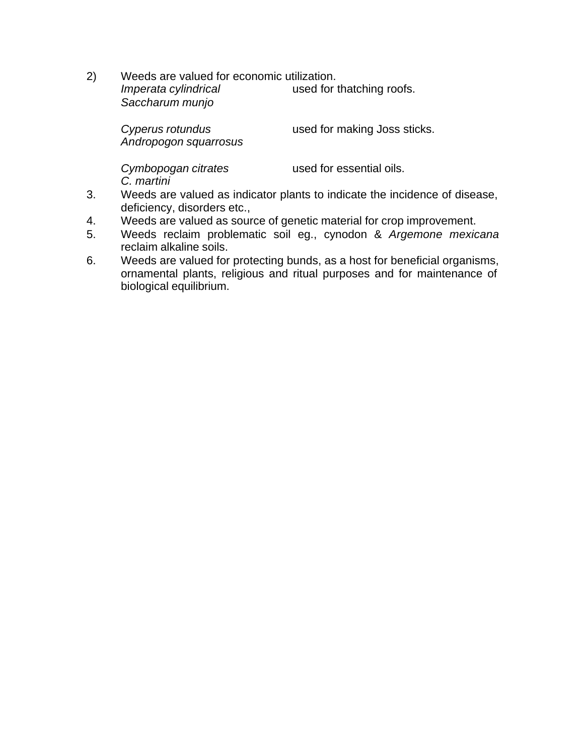2) Weeds are valued for economic utilization. *Imperata cylindrical* used for thatching roofs. *Saccharum munjo*

*Cyperus rotundus* used for making Joss sticks. *Andropogon squarrosus*

*C. martini*

*Cymbopogan citrates* used for essential oils.

- 3. Weeds are valued as indicator plants to indicate the incidence of disease, deficiency, disorders etc.,
- 4. Weeds are valued as source of genetic material for crop improvement.
- 5. Weeds reclaim problematic soil eg., cynodon & *Argemone mexicana* reclaim alkaline soils.
- 6. Weeds are valued for protecting bunds, as a host for beneficial organisms, ornamental plants, religious and ritual purposes and for maintenance of biological equilibrium.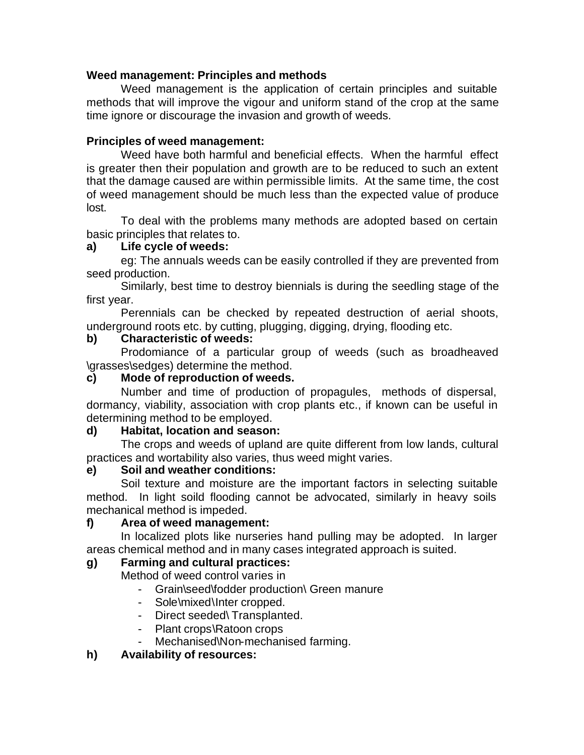### **Weed management: Principles and methods**

Weed management is the application of certain principles and suitable methods that will improve the vigour and uniform stand of the crop at the same time ignore or discourage the invasion and growth of weeds.

### **Principles of weed management:**

Weed have both harmful and beneficial effects. When the harmful effect is greater then their population and growth are to be reduced to such an extent that the damage caused are within permissible limits. At the same time, the cost of weed management should be much less than the expected value of produce lost.

To deal with the problems many methods are adopted based on certain basic principles that relates to.

### **a) Life cycle of weeds:**

eg: The annuals weeds can be easily controlled if they are prevented from seed production.

Similarly, best time to destroy biennials is during the seedling stage of the first year.

Perennials can be checked by repeated destruction of aerial shoots, underground roots etc. by cutting, plugging, digging, drying, flooding etc.

#### **b) Characteristic of weeds:**

Prodomiance of a particular group of weeds (such as broadheaved \grasses\sedges) determine the method.

#### **c) Mode of reproduction of weeds.**

Number and time of production of propagules, methods of dispersal, dormancy, viability, association with crop plants etc., if known can be useful in determining method to be employed.

#### **d) Habitat, location and season:**

The crops and weeds of upland are quite different from low lands, cultural practices and wortability also varies, thus weed might varies.

### **e) Soil and weather conditions:**

Soil texture and moisture are the important factors in selecting suitable method. In light soild flooding cannot be advocated, similarly in heavy soils mechanical method is impeded.

#### **f) Area of weed management:**

In localized plots like nurseries hand pulling may be adopted. In larger areas chemical method and in many cases integrated approach is suited.

### **g) Farming and cultural practices:**

Method of weed control varies in

- Grain\seed\fodder production\ Green manure
- Sole\mixed\Inter cropped.
- Direct seeded\ Transplanted.
- Plant crops\Ratoon crops
- Mechanised\Non-mechanised farming.

### **h) Availability of resources:**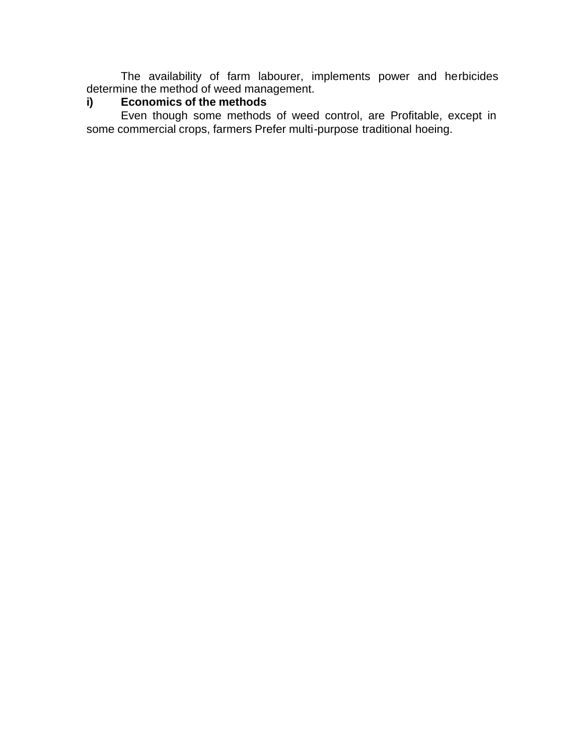The availability of farm labourer, implements power and herbicides determine the method of weed management.

#### **i) Economics of the methods**

Even though some methods of weed control, are Profitable, except in some commercial crops, farmers Prefer multi-purpose traditional hoeing.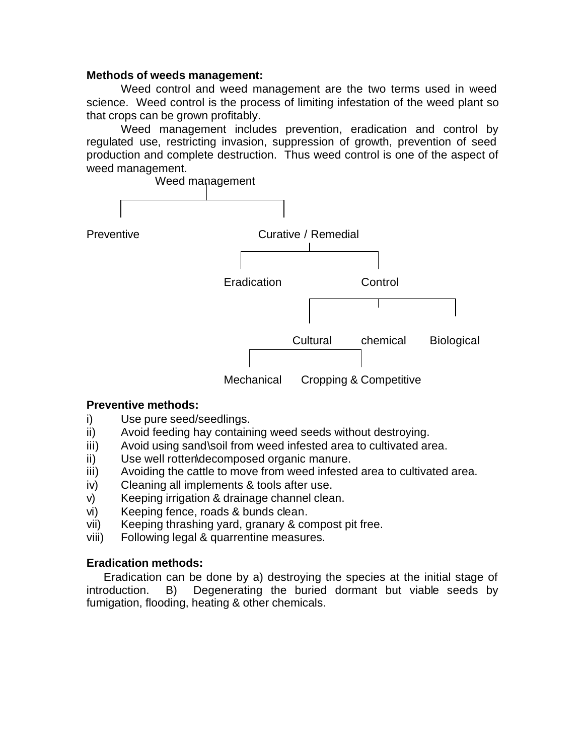#### **Methods of weeds management:**

Weed control and weed management are the two terms used in weed science. Weed control is the process of limiting infestation of the weed plant so that crops can be grown profitably.

Weed management includes prevention, eradication and control by regulated use, restricting invasion, suppression of growth, prevention of seed production and complete destruction. Thus weed control is one of the aspect of weed management.



#### **Preventive methods:**

- i) Use pure seed/seedlings.
- ii) Avoid feeding hay containing weed seeds without destroying.
- iii) Avoid using sand\soil from weed infested area to cultivated area.
- ii) Use well rotten\decomposed organic manure.
- iii) Avoiding the cattle to move from weed infested area to cultivated area.
- iv) Cleaning all implements & tools after use.
- v) Keeping irrigation & drainage channel clean.
- vi) Keeping fence, roads & bunds clean.
- vii) Keeping thrashing yard, granary & compost pit free.
- viii) Following legal & quarrentine measures.

#### **Eradication methods:**

Eradication can be done by a) destroying the species at the initial stage of introduction. B) Degenerating the buried dormant but viable seeds by fumigation, flooding, heating & other chemicals.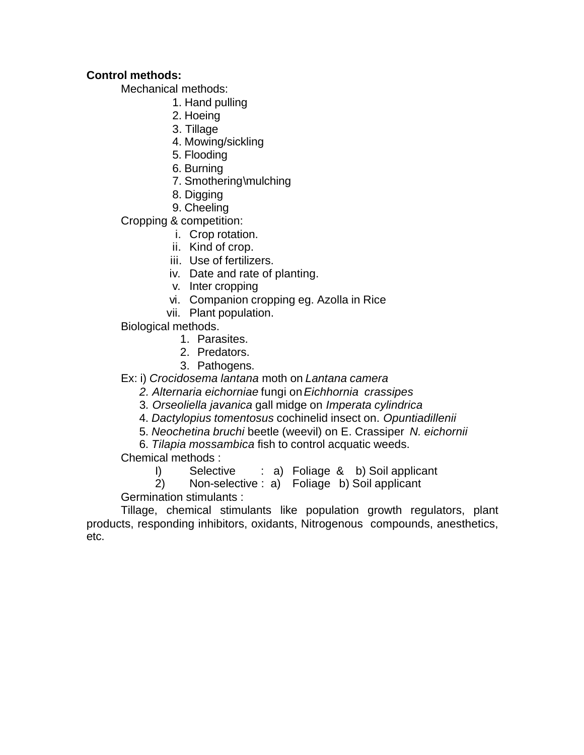### **Control methods:**

Mechanical methods:

- 1. Hand pulling
- 2. Hoeing
- 3. Tillage
- 4. Mowing/sickling
- 5. Flooding
- 6. Burning
- 7. Smothering\mulching
- 8. Digging
- 9. Cheeling

Cropping & competition:

- i. Crop rotation.
- ii. Kind of crop.
- iii. Use of fertilizers.
- iv. Date and rate of planting.
- v. Inter cropping
- vi. Companion cropping eg. Azolla in Rice
- vii. Plant population.
- Biological methods.
	- 1. Parasites.
	- 2. Predators.
	- 3. Pathogens.

Ex: i) *Crocidosema lantana* moth on *Lantana camera*

- *2. Alternaria eichorniae* fungi on *Eichhornia crassipes*
- 3*. Orseoliella javanica* gall midge on *Imperata cylindrica*
- 4. *Dactylopius tomentosus* cochinelid insect on. *Opuntiadillenii*
- 5. *Neochetina bruchi* beetle (weevil) on E. Crassiper *N. eichornii*

6. *Tilapia mossambica* fish to control acquatic weeds.

Chemical methods :

I) Selective : a) Foliage & b) Soil applicant

2) Non-selective : a) Foliage b) Soil applicant

Germination stimulants :

Tillage, chemical stimulants like population growth regulators, plant products, responding inhibitors, oxidants, Nitrogenous compounds, anesthetics, etc.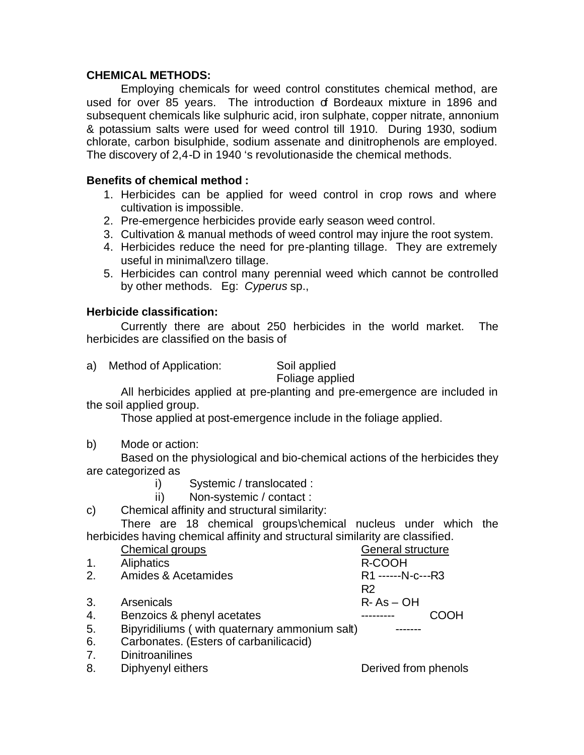#### **CHEMICAL METHODS:**

Employing chemicals for weed control constitutes chemical method, are used for over 85 years. The introduction of Bordeaux mixture in 1896 and subsequent chemicals like sulphuric acid, iron sulphate, copper nitrate, annonium & potassium salts were used for weed control till 1910. During 1930, sodium chlorate, carbon bisulphide, sodium assenate and dinitrophenols are employed. The discovery of 2,4-D in 1940 's revolutionaside the chemical methods.

#### **Benefits of chemical method :**

- 1. Herbicides can be applied for weed control in crop rows and where cultivation is impossible.
- 2. Pre-emergence herbicides provide early season weed control.
- 3. Cultivation & manual methods of weed control may injure the root system.
- 4. Herbicides reduce the need for pre-planting tillage. They are extremely useful in minimal\zero tillage.
- 5. Herbicides can control many perennial weed which cannot be controlled by other methods. Eg: *Cyperus* sp.,

### **Herbicide classification:**

Currently there are about 250 herbicides in the world market. The herbicides are classified on the basis of

a) Method of Application: Soil applied

Foliage applied

All herbicides applied at pre-planting and pre-emergence are included in the soil applied group.

Those applied at post-emergence include in the foliage applied.

b) Mode or action:

Based on the physiological and bio-chemical actions of the herbicides they are categorized as

- i) Systemic / translocated :
- ii) Non-systemic / contact :
- c) Chemical affinity and structural similarity:

There are 18 chemical groups\chemical nucleus under which the herbicides having chemical affinity and structural similarity are classified.

|                | Chemical groups                               | General structure    |  |
|----------------|-----------------------------------------------|----------------------|--|
| $\mathbf{1}$ . | Aliphatics                                    | R-COOH               |  |
| 2.             | Amides & Acetamides                           | R1 ------N-c---R3    |  |
|                |                                               | R <sub>2</sub>       |  |
| 3.             | Arsenicals                                    | $R - As - OH$        |  |
| 4.             | Benzoics & phenyl acetates                    |                      |  |
| 5.             | Bipyridiliums (with quaternary ammonium salt) |                      |  |
| 6.             | Carbonates. (Esters of carbanilicacid)        |                      |  |
| 7.             | <b>Dinitroanilines</b>                        |                      |  |
| 8.             | Diphyenyl eithers                             | Derived from phenols |  |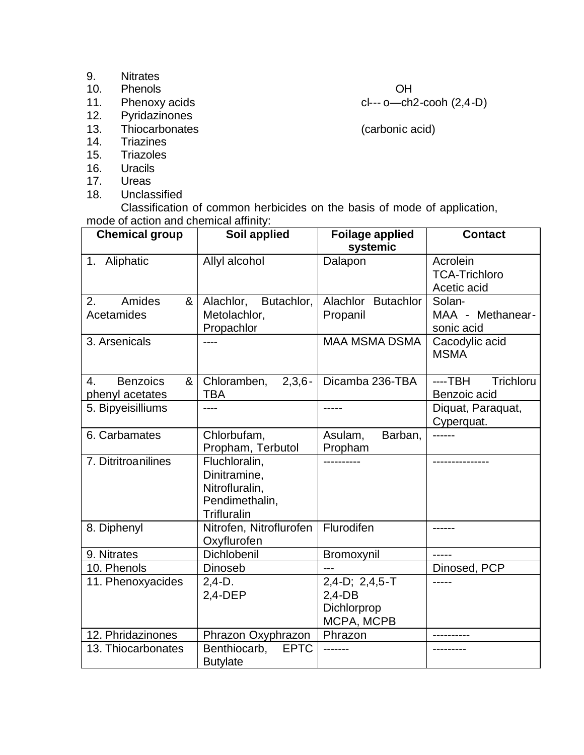- 9. Nitrates
- 
- 10. Phenols OH<br>11. Phenoxy acids Clear Company of Clear Clear Company of Clear Clear Clear Clear Clear Clear Clear Clear Cle 11. Phenoxy acids<br>
12. Pyridazinones
- Pyridazinones
- 13. Thiocarbonates (carbonic acid)<br>14. Triazines
- **Triazines**
- 15. Triazoles
- 16. Uracils<br>17. Ureas
- Ureas
- 18. Unclassified

Classification of common herbicides on the basis of mode of application, mode of action and chemical affinity:

| <b>Chemical group</b>                         | Soil applied                                                                            | <b>Foilage applied</b><br>systemic                           | <b>Contact</b>                                  |
|-----------------------------------------------|-----------------------------------------------------------------------------------------|--------------------------------------------------------------|-------------------------------------------------|
| 1. Aliphatic                                  | Allyl alcohol                                                                           | Dalapon                                                      | Acrolein<br><b>TCA-Trichloro</b><br>Acetic acid |
| Amides<br>2.<br>&<br>Acetamides               | Butachlor,<br>Alachlor,<br>Metolachlor,<br>Propachlor                                   | Alachlor<br><b>Butachlor</b><br>Propanil                     | Solan-<br>MAA - Methanear-<br>sonic acid        |
| 3. Arsenicals                                 |                                                                                         | <b>MAA MSMA DSMA</b>                                         | Cacodylic acid<br><b>MSMA</b>                   |
| <b>Benzoics</b><br>&<br>4.<br>phenyl acetates | $2,3,6-$<br>Chloramben,<br><b>TBA</b>                                                   | Dicamba 236-TBA                                              | <b>Trichloru</b><br>----TBH<br>Benzoic acid     |
| 5. Bipyeisilliums                             |                                                                                         |                                                              | Diquat, Paraquat,<br>Cyperquat.                 |
| 6. Carbamates                                 | Chlorbufam,<br>Propham, Terbutol                                                        | Barban,<br>Asulam,<br>Propham                                |                                                 |
| 7. Ditritroanilines                           | Fluchloralin,<br>Dinitramine,<br>Nitrofluralin,<br>Pendimethalin,<br><b>Trifluralin</b> |                                                              |                                                 |
| 8. Diphenyl                                   | Nitrofen, Nitroflurofen<br>Oxyflurofen                                                  | Flurodifen                                                   |                                                 |
| 9. Nitrates                                   | Dichlobenil                                                                             | Bromoxynil                                                   | $- - - - -$                                     |
| 10. Phenols                                   | Dinoseb                                                                                 | ---                                                          | Dinosed, PCP                                    |
| 11. Phenoxyacides                             | $2,4-D.$<br>$2,4$ -DEP                                                                  | $2,4-D$ ; $2,4,5-T$<br>$2,4-DB$<br>Dichlorprop<br>MCPA, MCPB |                                                 |
| 12. Phridazinones                             | Phrazon Oxyphrazon                                                                      | Phrazon                                                      |                                                 |
| 13. Thiocarbonates                            | Benthiocarb,<br><b>EPTC</b><br><b>Butylate</b>                                          |                                                              |                                                 |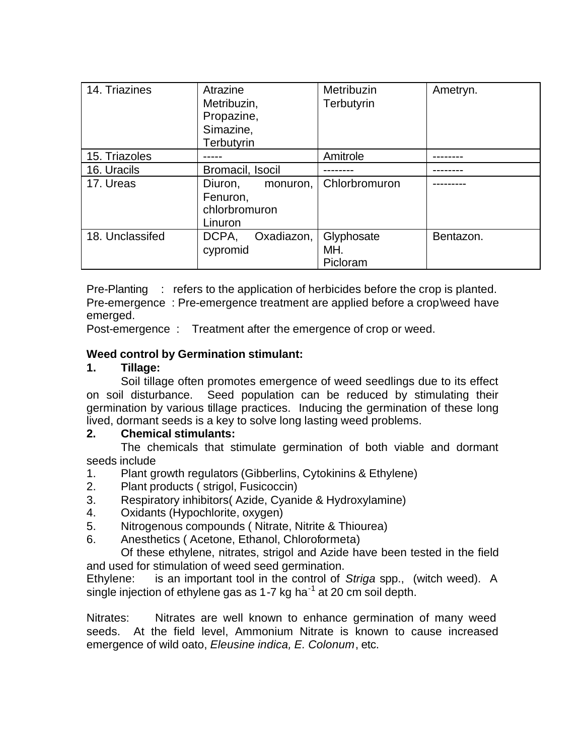| 14. Triazines   | Atrazine<br>Metribuzin,<br>Propazine,<br>Simazine,<br>Terbutyrin | Metribuzin<br>Terbutyrin      | Ametryn.  |
|-----------------|------------------------------------------------------------------|-------------------------------|-----------|
| 15. Triazoles   |                                                                  | Amitrole                      |           |
| 16. Uracils     | Bromacil, Isocil                                                 |                               |           |
| 17. Ureas       | Diuron,<br>monuron,<br>Fenuron,<br>chlorbromuron<br>Linuron      | Chlorbromuron                 |           |
| 18. Unclassifed | Oxadiazon,<br>DCPA,<br>cypromid                                  | Glyphosate<br>MH.<br>Picloram | Bentazon. |

Pre-Planting : refers to the application of herbicides before the crop is planted. Pre-emergence : Pre-emergence treatment are applied before a crop\weed have emerged.

Post-emergence : Treatment after the emergence of crop or weed.

### **Weed control by Germination stimulant:**

#### **1. Tillage:**

Soil tillage often promotes emergence of weed seedlings due to its effect on soil disturbance. Seed population can be reduced by stimulating their germination by various tillage practices. Inducing the germination of these long lived, dormant seeds is a key to solve long lasting weed problems.

#### **2. Chemical stimulants:**

The chemicals that stimulate germination of both viable and dormant seeds include

- 1. Plant growth regulators (Gibberlins, Cytokinins & Ethylene)
- 2. Plant products ( strigol, Fusicoccin)
- 3. Respiratory inhibitors( Azide, Cyanide & Hydroxylamine)
- 4. Oxidants (Hypochlorite, oxygen)
- 5. Nitrogenous compounds ( Nitrate, Nitrite & Thiourea)
- 6. Anesthetics ( Acetone, Ethanol, Chloroformeta)

Of these ethylene, nitrates, strigol and Azide have been tested in the field and used for stimulation of weed seed germination.

Ethylene: is an important tool in the control of *Striga* spp., (witch weed). A single injection of ethylene gas as 1-7 kg ha<sup>-1</sup> at 20 cm soil depth.

Nitrates: Nitrates are well known to enhance germination of many weed seeds. At the field level, Ammonium Nitrate is known to cause increased emergence of wild oato, *Eleusine indica, E. Colonum*, etc.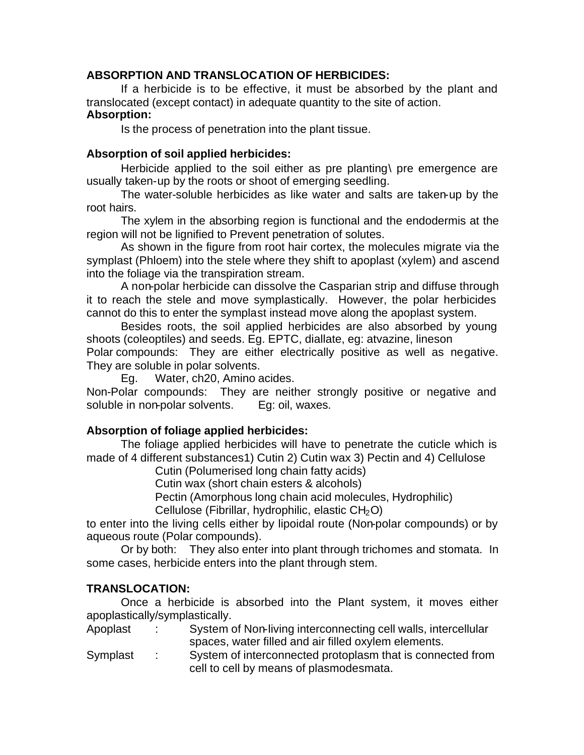### **ABSORPTION AND TRANSLOCATION OF HERBICIDES:**

If a herbicide is to be effective, it must be absorbed by the plant and translocated (except contact) in adequate quantity to the site of action. **Absorption:**

Is the process of penetration into the plant tissue.

### **Absorption of soil applied herbicides:**

Herbicide applied to the soil either as pre planting\ pre emergence are usually taken-up by the roots or shoot of emerging seedling.

The water-soluble herbicides as like water and salts are taken-up by the root hairs.

The xylem in the absorbing region is functional and the endodermis at the region will not be lignified to Prevent penetration of solutes.

As shown in the figure from root hair cortex, the molecules migrate via the symplast (Phloem) into the stele where they shift to apoplast (xylem) and ascend into the foliage via the transpiration stream.

A non-polar herbicide can dissolve the Casparian strip and diffuse through it to reach the stele and move symplastically. However, the polar herbicides cannot do this to enter the symplast instead move along the apoplast system.

Besides roots, the soil applied herbicides are also absorbed by young shoots (coleoptiles) and seeds. Eg. EPTC, diallate, eg: atvazine, lineson Polar compounds: They are either electrically positive as well as negative. They are soluble in polar solvents.

Eg. Water, ch20, Amino acides.

Non-Polar compounds: They are neither strongly positive or negative and soluble in non-polar solvents. Eg: oil, waxes.

### **Absorption of foliage applied herbicides:**

The foliage applied herbicides will have to penetrate the cuticle which is made of 4 different substances1) Cutin 2) Cutin wax 3) Pectin and 4) Cellulose

Cutin (Polumerised long chain fatty acids)

Cutin wax (short chain esters & alcohols)

Pectin (Amorphous long chain acid molecules, Hydrophilic)

Cellulose (Fibrillar, hydrophilic, elastic  $CH<sub>2</sub>O$ )

to enter into the living cells either by lipoidal route (Non-polar compounds) or by aqueous route (Polar compounds).

Or by both: They also enter into plant through trichomes and stomata. In some cases, herbicide enters into the plant through stem.

### **TRANSLOCATION:**

Once a herbicide is absorbed into the Plant system, it moves either apoplastically/symplastically.

- Apoplast : System of Non-living interconnecting cell walls, intercellular spaces, water filled and air filled oxylem elements.
- Symplast : System of interconnected protoplasm that is connected from cell to cell by means of plasmodesmata.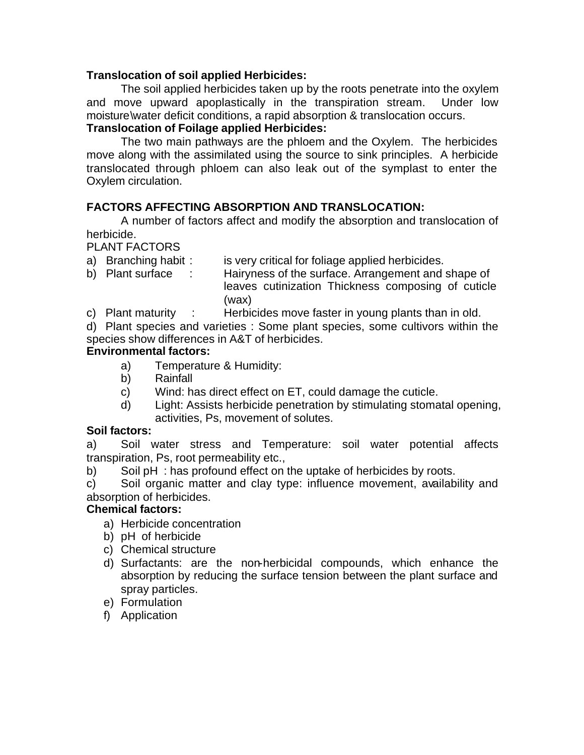#### **Translocation of soil applied Herbicides:**

The soil applied herbicides taken up by the roots penetrate into the oxylem and move upward apoplastically in the transpiration stream. Under low moisture\water deficit conditions, a rapid absorption & translocation occurs.

### **Translocation of Foilage applied Herbicides:**

The two main pathways are the phloem and the Oxylem. The herbicides move along with the assimilated using the source to sink principles. A herbicide translocated through phloem can also leak out of the symplast to enter the Oxylem circulation.

### **FACTORS AFFECTING ABSORPTION AND TRANSLOCATION:**

A number of factors affect and modify the absorption and translocation of herbicide.

#### PLANT FACTORS

- a) Branching habit : is very critical for foliage applied herbicides.
- b) Plant surface : Hairyness of the surface. Arrangement and shape of leaves cutinization Thickness composing of cuticle (wax)

c) Plant maturity : Herbicides move faster in young plants than in old.

d) Plant species and varieties : Some plant species, some cultivors within the species show differences in A&T of herbicides.

### **Environmental factors:**

- a) Temperature & Humidity:
- b) Rainfall
- c) Wind: has direct effect on ET, could damage the cuticle.
- d) Light: Assists herbicide penetration by stimulating stomatal opening, activities, Ps, movement of solutes.

### **Soil factors:**

a) Soil water stress and Temperature: soil water potential affects transpiration, Ps, root permeability etc.,

b) Soil pH : has profound effect on the uptake of herbicides by roots.

c) Soil organic matter and clay type: influence movement, availability and absorption of herbicides.

### **Chemical factors:**

- a) Herbicide concentration
- b) pH of herbicide
- c) Chemical structure
- d) Surfactants: are the non-herbicidal compounds, which enhance the absorption by reducing the surface tension between the plant surface and spray particles.
- e) Formulation
- f) Application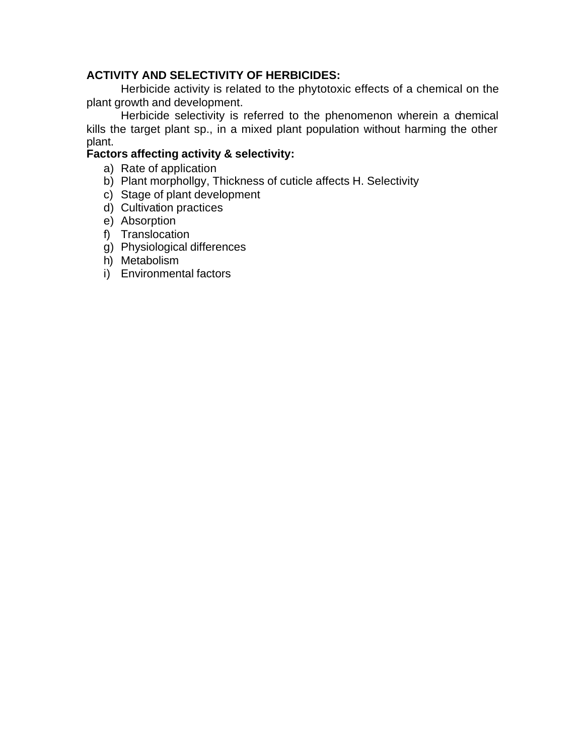#### **ACTIVITY AND SELECTIVITY OF HERBICIDES:**

Herbicide activity is related to the phytotoxic effects of a chemical on the plant growth and development.

Herbicide selectivity is referred to the phenomenon wherein a chemical kills the target plant sp., in a mixed plant population without harming the other plant.

#### **Factors affecting activity & selectivity:**

- a) Rate of application
- b) Plant morphollgy, Thickness of cuticle affects H. Selectivity
- c) Stage of plant development
- d) Cultivation practices
- e) Absorption
- f) Translocation
- g) Physiological differences
- h) Metabolism
- i) Environmental factors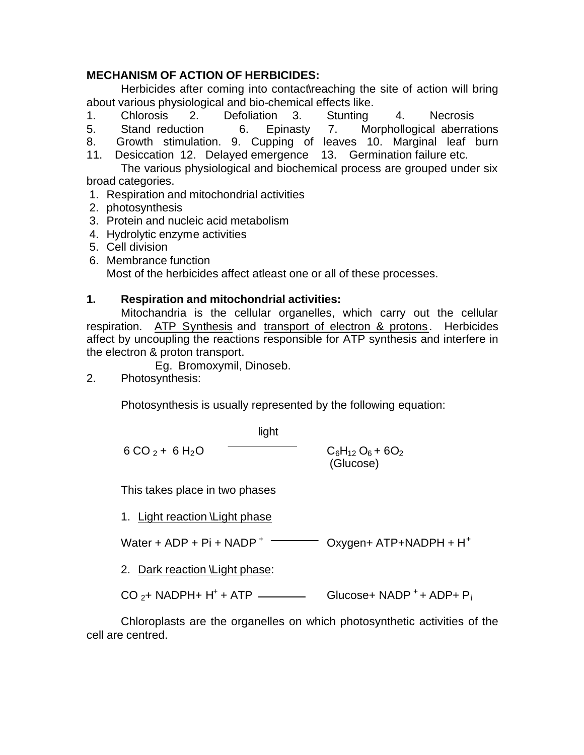### **MECHANISM OF ACTION OF HERBICIDES:**

Herbicides after coming into contact\reaching the site of action will bring about various physiological and bio-chemical effects like.

- 1. Chlorosis 2. Defoliation 3. Stunting 4. Necrosis
- 5. Stand reduction 6. Epinasty 7. Morphollogical aberrations
- 8. Growth stimulation. 9. Cupping of leaves 10. Marginal leaf burn

11. Desiccation 12. Delayed emergence 13. Germination failure etc.

The various physiological and biochemical process are grouped under six broad categories.

- 1. Respiration and mitochondrial activities
- 2. photosynthesis
- 3. Protein and nucleic acid metabolism
- 4. Hydrolytic enzyme activities
- 5. Cell division
- 6. Membrance function

Most of the herbicides affect atleast one or all of these processes.

### **1. Respiration and mitochondrial activities:**

Mitochandria is the cellular organelles, which carry out the cellular respiration.ATP Synthesis and transport of electron & protons. Herbicides affect by uncoupling the reactions responsible for ATP synthesis and interfere in the electron & proton transport.

Eg. Bromoxymil, Dinoseb.

2. Photosynthesis:

Photosynthesis is usually represented by the following equation:

6 CO<sub>2</sub> + 6 H<sub>2</sub>O   
 
$$
\frac{light}{\sqrt{C_6H_{12}O_6 + 6O_2}}
$$

This takes place in two phases

1. Light reaction \Light phase

Water + ADP + Pi + NADP  $^+$   $\overline{\hspace{1cm}}$  Oxygen+ ATP+NADPH + H $^+$ 

2. Dark reaction \Light phase:

 $CO_{2}$ + NADPH+ H<sup>+</sup> + ATP  $\frac{1}{2}$  Glucose+ NADP <sup>+</sup> + ADP+ P<sub>i</sub>

Chloroplasts are the organelles on which photosynthetic activities of the cell are centred.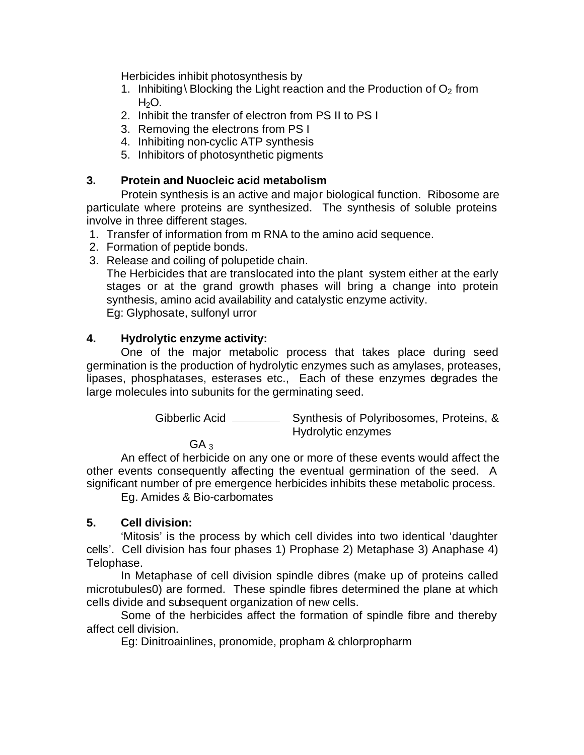Herbicides inhibit photosynthesis by

- 1. Inhibiting \ Blocking the Light reaction and the Production of  $O<sub>2</sub>$  from  $H<sub>2</sub>O$ .
- 2. Inhibit the transfer of electron from PS II to PS I
- 3. Removing the electrons from PS I
- 4. Inhibiting non-cyclic ATP synthesis
- 5. Inhibitors of photosynthetic pigments

### **3. Protein and Nuocleic acid metabolism**

Protein synthesis is an active and major biological function. Ribosome are particulate where proteins are synthesized. The synthesis of soluble proteins involve in three different stages.

- 1. Transfer of information from m RNA to the amino acid sequence.
- 2. Formation of peptide bonds.
- 3. Release and coiling of polupetide chain.

The Herbicides that are translocated into the plant system either at the early stages or at the grand growth phases will bring a change into protein synthesis, amino acid availability and catalystic enzyme activity. Eg: Glyphosate, sulfonyl urror

### **4. Hydrolytic enzyme activity:**

One of the major metabolic process that takes place during seed germination is the production of hydrolytic enzymes such as amylases, proteases, lipases, phosphatases, esterases etc., Each of these enzymes degrades the large molecules into subunits for the germinating seed.

> Gibberlic Acid \_\_\_\_\_\_\_\_\_\_\_ Synthesis of Polyribosomes, Proteins, & Hydrolytic enzymes

 $GA<sub>3</sub>$ 

An effect of herbicide on any one or more of these events would affect the other events consequently affecting the eventual germination of the seed. A significant number of pre emergence herbicides inhibits these metabolic process.

Eg. Amides & Bio-carbomates

#### **5. Cell division:**

'Mitosis' is the process by which cell divides into two identical 'daughter cells'. Cell division has four phases 1) Prophase 2) Metaphase 3) Anaphase 4) Telophase.

In Metaphase of cell division spindle dibres (make up of proteins called microtubules0) are formed. These spindle fibres determined the plane at which cells divide and subsequent organization of new cells.

Some of the herbicides affect the formation of spindle fibre and thereby affect cell division.

Eg: Dinitroainlines, pronomide, propham & chlorpropharm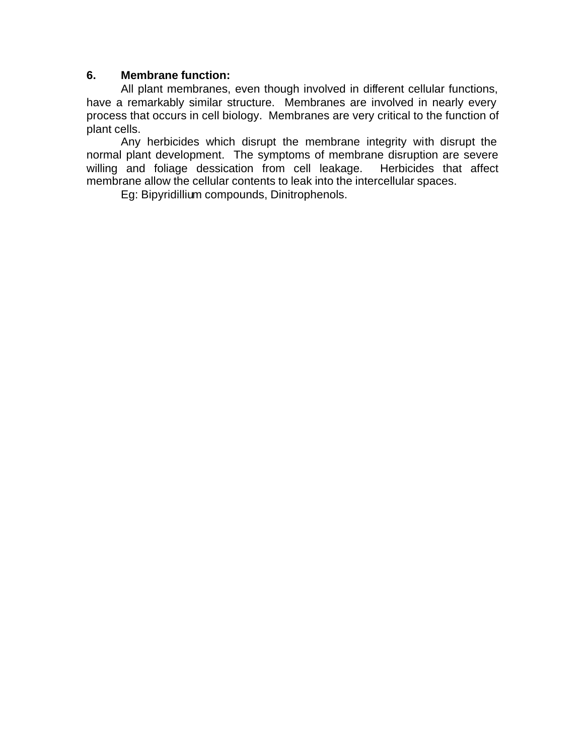#### **6. Membrane function:**

All plant membranes, even though involved in different cellular functions, have a remarkably similar structure. Membranes are involved in nearly every process that occurs in cell biology. Membranes are very critical to the function of plant cells.

Any herbicides which disrupt the membrane integrity with disrupt the normal plant development. The symptoms of membrane disruption are severe willing and foliage dessication from cell leakage. Herbicides that affect membrane allow the cellular contents to leak into the intercellular spaces.

Eg: Bipyridillium compounds, Dinitrophenols.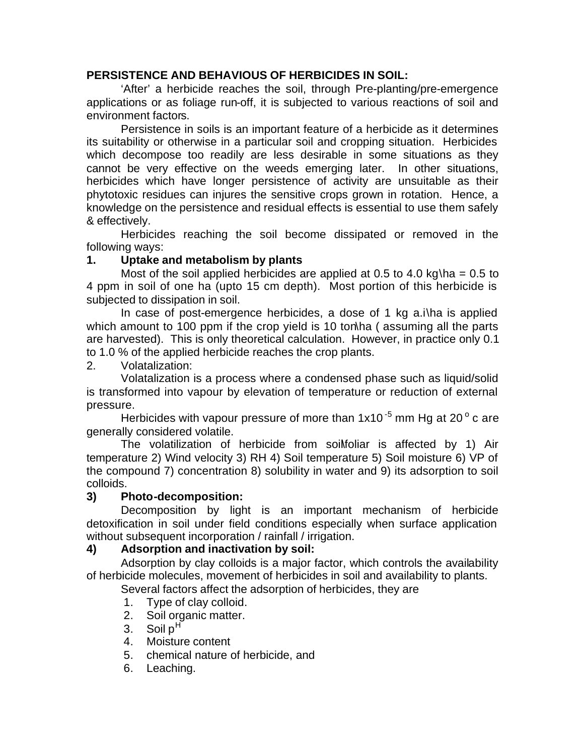#### **PERSISTENCE AND BEHAVIOUS OF HERBICIDES IN SOIL:**

'After' a herbicide reaches the soil, through Pre-planting/pre-emergence applications or as foliage run-off, it is subjected to various reactions of soil and environment factors.

Persistence in soils is an important feature of a herbicide as it determines its suitability or otherwise in a particular soil and cropping situation. Herbicides which decompose too readily are less desirable in some situations as they cannot be very effective on the weeds emerging later. In other situations, herbicides which have longer persistence of activity are unsuitable as their phytotoxic residues can injures the sensitive crops grown in rotation. Hence, a knowledge on the persistence and residual effects is essential to use them safely & effectively.

Herbicides reaching the soil become dissipated or removed in the following ways:

#### **1. Uptake and metabolism by plants**

Most of the soil applied herbicides are applied at 0.5 to 4.0 kg\ha =  $0.5$  to 4 ppm in soil of one ha (upto 15 cm depth). Most portion of this herbicide is subjected to dissipation in soil.

In case of post-emergence herbicides, a dose of 1 kg a.i\ha is applied which amount to 100 ppm if the crop yield is 10 ton ha (assuming all the parts are harvested). This is only theoretical calculation. However, in practice only 0.1 to 1.0 % of the applied herbicide reaches the crop plants.

2. Volatalization:

Volatalization is a process where a condensed phase such as liquid/solid is transformed into vapour by elevation of temperature or reduction of external pressure.

Herbicides with vapour pressure of more than 1x10<sup>-5</sup> mm Hg at 20 $^{\circ}$  c are generally considered volatile.

The volatilization of herbicide from soilfoliar is affected by 1) Air temperature 2) Wind velocity 3) RH 4) Soil temperature 5) Soil moisture 6) VP of the compound 7) concentration 8) solubility in water and 9) its adsorption to soil colloids.

#### **3) Photo-decomposition:**

Decomposition by light is an important mechanism of herbicide detoxification in soil under field conditions especially when surface application without subsequent incorporation / rainfall / irrigation.

#### **4) Adsorption and inactivation by soil:**

Adsorption by clay colloids is a major factor, which controls the availability of herbicide molecules, movement of herbicides in soil and availability to plants.

Several factors affect the adsorption of herbicides, they are

- 1. Type of clay colloid.
- 2. Soil organic matter.
- 3. Soil  $p^H$
- 4. Moisture content
- 5. chemical nature of herbicide, and
- 6. Leaching.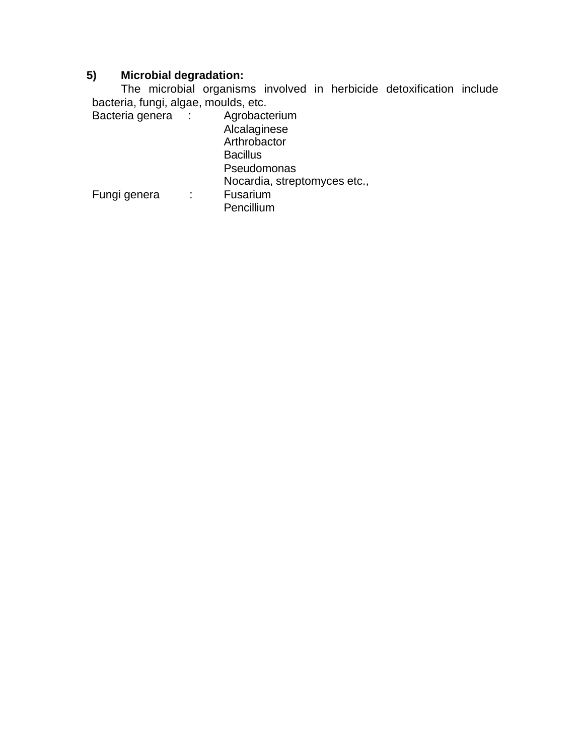### **5) Microbial degradation:**

The microbial organisms involved in herbicide detoxification include bacteria, fungi, algae, moulds, etc.

| ÷ | Agrobacterium                |
|---|------------------------------|
|   | Alcalaginese                 |
|   | Arthrobactor                 |
|   | <b>Bacillus</b>              |
|   | Pseudomonas                  |
|   | Nocardia, streptomyces etc., |
|   | Fusarium<br>Pencillium       |
|   |                              |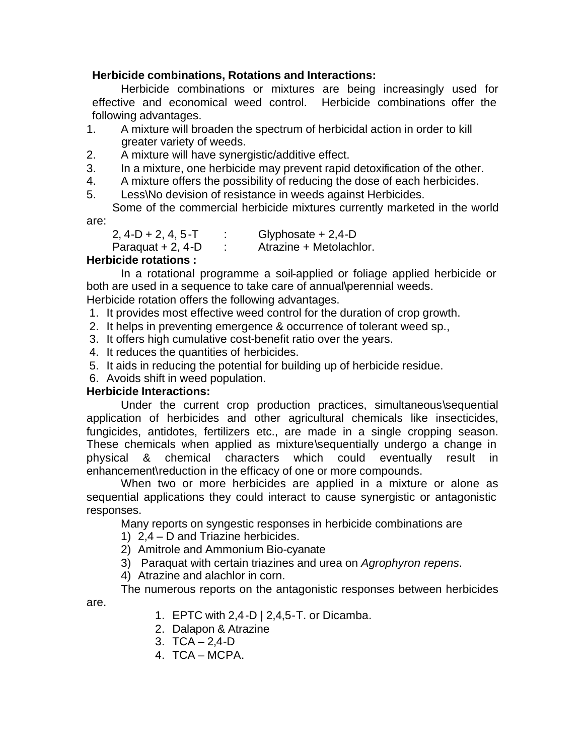#### **Herbicide combinations, Rotations and Interactions:**

Herbicide combinations or mixtures are being increasingly used for effective and economical weed control. Herbicide combinations offer the following advantages.

- 1. A mixture will broaden the spectrum of herbicidal action in order to kill greater variety of weeds.
- 2. A mixture will have synergistic/additive effect.
- 3. In a mixture, one herbicide may prevent rapid detoxification of the other.
- 4. A mixture offers the possibility of reducing the dose of each herbicides.
- 5. Less\No devision of resistance in weeds against Herbicides.

Some of the commercial herbicide mixtures currently marketed in the world are:

| 2, 4-D + 2, 4, 5-T | Glyphosate $+ 2,4$ -D   |
|--------------------|-------------------------|
| Paraquat + 2, 4-D  | Atrazine + Metolachlor. |

### **Herbicide rotations :**

In a rotational programme a soil-applied or foliage applied herbicide or both are used in a sequence to take care of annual\perennial weeds.

Herbicide rotation offers the following advantages.

- 1. It provides most effective weed control for the duration of crop growth.
- 2. It helps in preventing emergence & occurrence of tolerant weed sp.,
- 3. It offers high cumulative cost-benefit ratio over the years.
- 4. It reduces the quantities of herbicides.
- 5. It aids in reducing the potential for building up of herbicide residue.
- 6. Avoids shift in weed population.

#### **Herbicide Interactions:**

Under the current crop production practices, simultaneous\sequential application of herbicides and other agricultural chemicals like insecticides, fungicides, antidotes, fertilizers etc., are made in a single cropping season. These chemicals when applied as mixture\sequentially undergo a change in physical & chemical characters which could eventually result in enhancement\reduction in the efficacy of one or more compounds.

When two or more herbicides are applied in a mixture or alone as sequential applications they could interact to cause synergistic or antagonistic responses.

Many reports on syngestic responses in herbicide combinations are

- 1) 2,4 D and Triazine herbicides.
- 2) Amitrole and Ammonium Bio-cyanate
- 3) Paraquat with certain triazines and urea on *Agrophyron repens*.
- 4) Atrazine and alachlor in corn.

The numerous reports on the antagonistic responses between herbicides

are.

- 1. EPTC with 2,4-D | 2,4,5-T. or Dicamba.
- 2. Dalapon & Atrazine
- 3. TCA 2,4-D
- 4. TCA MCPA.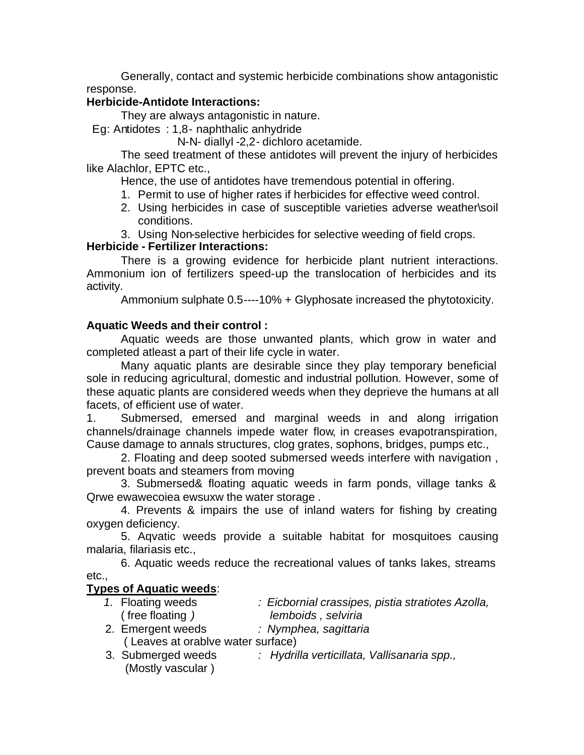Generally, contact and systemic herbicide combinations show antagonistic response.

### **Herbicide-Antidote Interactions:**

They are always antagonistic in nature.

Eg: Antidotes : 1,8- naphthalic anhydride

N-N- diallyl -2,2- dichloro acetamide.

The seed treatment of these antidotes will prevent the injury of herbicides like Alachlor, EPTC etc.,

Hence, the use of antidotes have tremendous potential in offering.

- 1. Permit to use of higher rates if herbicides for effective weed control.
- 2. Using herbicides in case of susceptible varieties adverse weather\soil conditions.
- 3. Using Non-selective herbicides for selective weeding of field crops.

#### **Herbicide - Fertilizer Interactions:**

There is a growing evidence for herbicide plant nutrient interactions. Ammonium ion of fertilizers speed-up the translocation of herbicides and its activity.

Ammonium sulphate 0.5----10% + Glyphosate increased the phytotoxicity.

#### **Aquatic Weeds and their control :**

Aquatic weeds are those unwanted plants, which grow in water and completed atleast a part of their life cycle in water.

Many aquatic plants are desirable since they play temporary beneficial sole in reducing agricultural, domestic and industrial pollution. However, some of these aquatic plants are considered weeds when they deprieve the humans at all facets, of efficient use of water.

1. Submersed, emersed and marginal weeds in and along irrigation channels/drainage channels impede water flow, in creases evapotranspiration, Cause damage to annals structures, clog grates, sophons, bridges, pumps etc.,

2. Floating and deep sooted submersed weeds interfere with navigation , prevent boats and steamers from moving

3. Submersed& floating aquatic weeds in farm ponds, village tanks & Qrwe ewawecoiea ewsuxw the water storage .

4. Prevents & impairs the use of inland waters for fishing by creating oxygen deficiency.

5. Aqvatic weeds provide a suitable habitat for mosquitoes causing malaria, filariasis etc.,

6. Aquatic weeds reduce the recreational values of tanks lakes, streams etc.,

#### **Types of Aquatic weeds**:

- *1.* Floating weeds *: Eicbornial crassipes, pistia stratiotes Azolla,* ( free floating *) lemboids , selviria*
- 2. Emergent weeds *: Nymphea, sagittaria*
- ( Leaves at orablve water surface)
- 3. Submerged weeds *: Hydrilla verticillata, Vallisanaria spp.,* (Mostly vascular )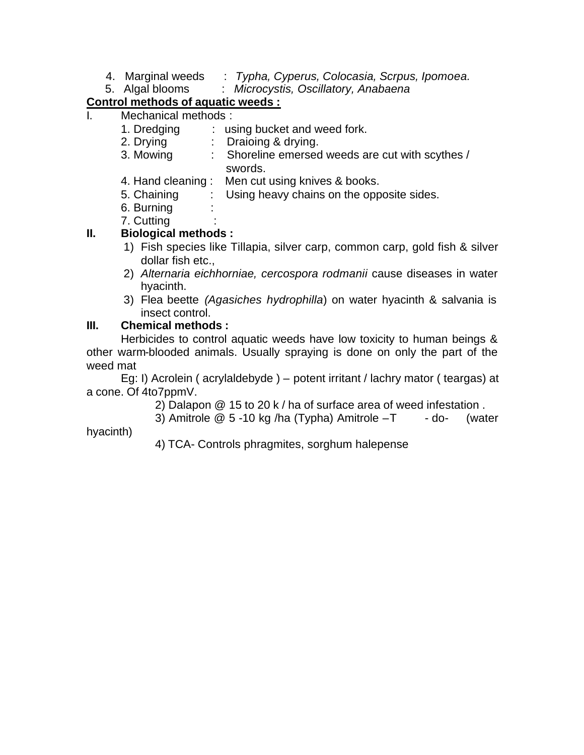- 4. Marginal weeds : *Typha, Cyperus, Colocasia, Scrpus, Ipomoea.*
- 5. Algal blooms: *Microcystis, Oscillatory, Anabaena*

## **Control methods of aquatic weeds :**

Mechanical methods :

| <br>. טוטטווטעוו ווטשווטטווי |             |  |                                                  |  |  |
|------------------------------|-------------|--|--------------------------------------------------|--|--|
|                              | 1. Dredging |  | : using bucket and weed fork.                    |  |  |
|                              | 2. Drying   |  | : Draioing & drying.                             |  |  |
|                              | 3. Mowing   |  | : Shoreline emersed weeds are cut with scythes / |  |  |
|                              |             |  | swords.                                          |  |  |
|                              |             |  | 4. Hand cleaning: Men cut using knives & books.  |  |  |
|                              | 5. Chaining |  | Using heavy chains on the opposite sides.        |  |  |
|                              | 6. Burning  |  |                                                  |  |  |
|                              | 7.0         |  |                                                  |  |  |

7. Cutting :

### **II. Biological methods :**

- 1) Fish species like Tillapia, silver carp, common carp, gold fish & silver dollar fish etc.,
- 2) *Alternaria eichhorniae, cercospora rodmanii* cause diseases in water hyacinth.
- 3) Flea beette *(Agasiches hydrophilla*) on water hyacinth & salvania is insect control.

### **III. Chemical methods :**

Herbicides to control aquatic weeds have low toxicity to human beings & other warm-blooded animals. Usually spraying is done on only the part of the weed mat

Eg: I) Acrolein ( acrylaldebyde ) – potent irritant / lachry mator ( teargas) at a cone. Of 4to7ppmV.

2) Dalapon @ 15 to 20 k / ha of surface area of weed infestation .

3) Amitrole  $@5 -10$  kg /ha (Typha) Amitrole  $-T -$  - do- (water

hyacinth)

4) TCA- Controls phragmites, sorghum halepense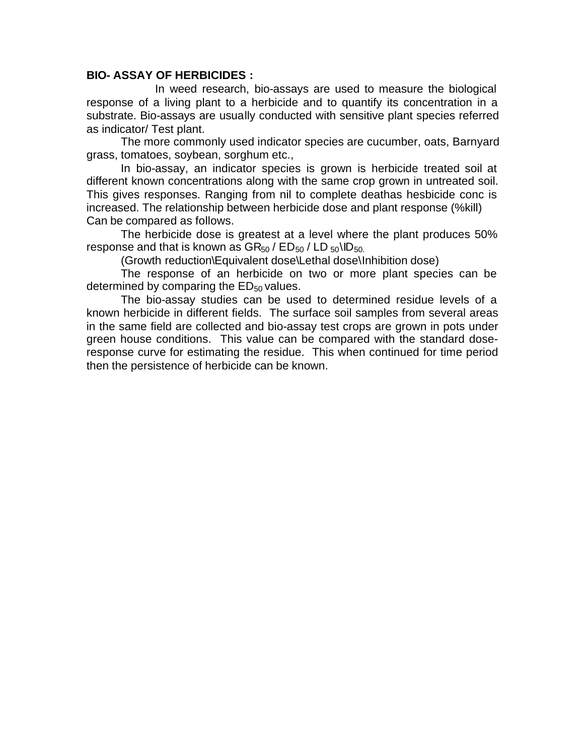#### **BIO- ASSAY OF HERBICIDES :**

In weed research, bio-assays are used to measure the biological response of a living plant to a herbicide and to quantify its concentration in a substrate. Bio-assays are usually conducted with sensitive plant species referred as indicator/ Test plant.

The more commonly used indicator species are cucumber, oats, Barnyard grass, tomatoes, soybean, sorghum etc.,

In bio-assay, an indicator species is grown is herbicide treated soil at different known concentrations along with the same crop grown in untreated soil. This gives responses. Ranging from nil to complete deathas hesbicide conc is increased. The relationship between herbicide dose and plant response (%kill) Can be compared as follows.

The herbicide dose is greatest at a level where the plant produces 50% response and that is known as  $GR_{50}$  /  $ED_{50}$  /  $LD_{50}$ \ID<sub>50</sub>.

(Growth reduction\Equivalent dose\Lethal dose\Inhibition dose)

The response of an herbicide on two or more plant species can be determined by comparing the  $ED_{50}$  values.

The bio-assay studies can be used to determined residue levels of a known herbicide in different fields. The surface soil samples from several areas in the same field are collected and bio-assay test crops are grown in pots under green house conditions. This value can be compared with the standard doseresponse curve for estimating the residue. This when continued for time period then the persistence of herbicide can be known.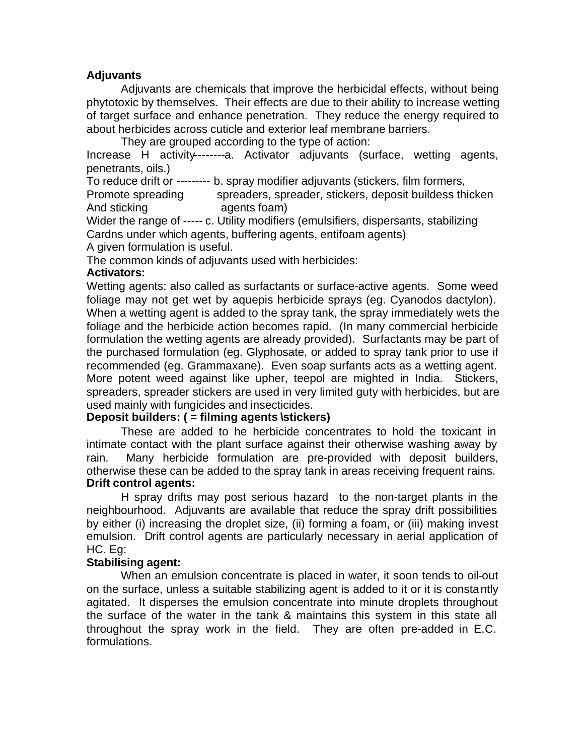#### **Adjuvants**

Adjuvants are chemicals that improve the herbicidal effects, without being phytotoxic by themselves. Their effects are due to their ability to increase wetting of target surface and enhance penetration. They reduce the energy required to about herbicides across cuticle and exterior leaf membrane barriers.

They are grouped according to the type of action:

Increase H activity--------a. Activator adjuvants (surface, wetting agents, penetrants, oils.)

To reduce drift or --------- b. spray modifier adjuvants (stickers, film formers,

Promote spreading spreaders, spreader, stickers, deposit buildess thicken And sticking agents foam)

Wider the range of ----- c. Utility modifiers (emulsifiers, dispersants, stabilizing Cardns under which agents, buffering agents, entifoam agents)

A given formulation is useful.

The common kinds of adjuvants used with herbicides:

#### **Activators:**

Wetting agents: also called as surfactants or surface-active agents. Some weed foliage may not get wet by aquepis herbicide sprays (eg. Cyanodos dactylon). When a wetting agent is added to the spray tank, the spray immediately wets the foliage and the herbicide action becomes rapid. (In many commercial herbicide formulation the wetting agents are already provided). Surfactants may be part of the purchased formulation (eg. Glyphosate, or added to spray tank prior to use if recommended (eg. Grammaxane). Even soap surfants acts as a wetting agent. More potent weed against like upher, teepol are mighted in India. Stickers, spreaders, spreader stickers are used in very limited guty with herbicides, but are used mainly with fungicides and insecticides.

#### **Deposit builders: ( = filming agents \stickers)**

These are added to he herbicide concentrates to hold the toxicant in intimate contact with the plant surface against their otherwise washing away by rain. Many herbicide formulation are pre-provided with deposit builders, otherwise these can be added to the spray tank in areas receiving frequent rains. **Drift control agents:**

H spray drifts may post serious hazard to the non-target plants in the neighbourhood. Adjuvants are available that reduce the spray drift possibilities by either (i) increasing the droplet size, (ii) forming a foam, or (iii) making invest emulsion. Drift control agents are particularly necessary in aerial application of HC. Eg:

#### **Stabilising agent:**

When an emulsion concentrate is placed in water, it soon tends to oil-out on the surface, unless a suitable stabilizing agent is added to it or it is constantly agitated. It disperses the emulsion concentrate into minute droplets throughout the surface of the water in the tank & maintains this system in this state all throughout the spray work in the field. They are often pre-added in E.C. formulations.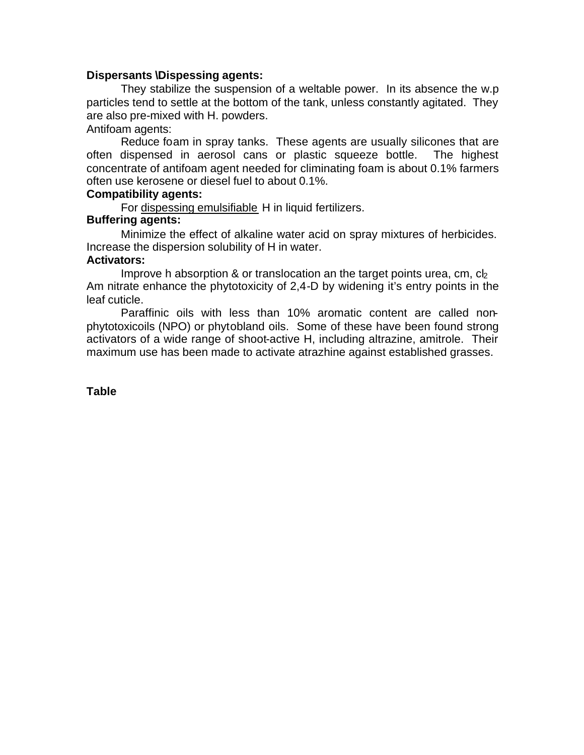#### **Dispersants \Dispessing agents:**

They stabilize the suspension of a weltable power. In its absence the w.p particles tend to settle at the bottom of the tank, unless constantly agitated. They are also pre-mixed with H. powders.

Antifoam agents:

Reduce foam in spray tanks. These agents are usually silicones that are often dispensed in aerosol cans or plastic squeeze bottle. The highest concentrate of antifoam agent needed for climinating foam is about 0.1% farmers often use kerosene or diesel fuel to about 0.1%.

#### **Compatibility agents:**

For dispessing emulsifiable H in liquid fertilizers.

#### **Buffering agents:**

Minimize the effect of alkaline water acid on spray mixtures of herbicides. Increase the dispersion solubility of H in water.

#### **Activators:**

Improve h absorption  $\&$  or translocation an the target points urea, cm, c $\vert_2$ Am nitrate enhance the phytotoxicity of 2,4-D by widening it's entry points in the leaf cuticle.

Paraffinic oils with less than 10% aromatic content are called nonphytotoxicoils (NPO) or phytobland oils. Some of these have been found strong activators of a wide range of shoot-active H, including altrazine, amitrole. Their maximum use has been made to activate atrazhine against established grasses.

#### **Table**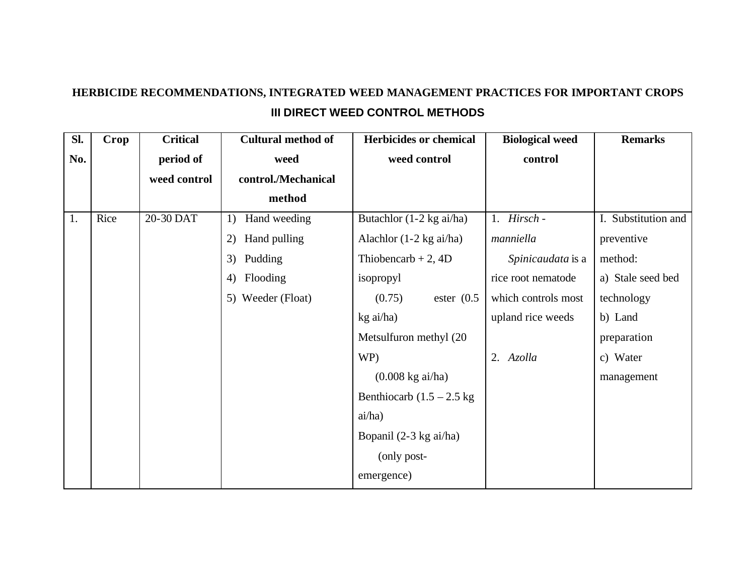# **HERBICIDE RECOMMENDATIONS, INTEGRATED WEED MANAGEMENT PRACTICES FOR IMPORTANT CROPS III DIRECT WEED CONTROL METHODS**

| Sl. | Crop | <b>Critical</b> | <b>Cultural method of</b> | <b>Herbicides or chemical</b>      | <b>Biological weed</b> | <b>Remarks</b>      |
|-----|------|-----------------|---------------------------|------------------------------------|------------------------|---------------------|
| No. |      | period of       | weed                      | weed control                       | control                |                     |
|     |      | weed control    | control./Mechanical       |                                    |                        |                     |
|     |      |                 | method                    |                                    |                        |                     |
| 1.  | Rice | 20-30 DAT       | Hand weeding<br>1)        | Butachlor $(1-2 \text{ kg ai/ha})$ | 1. Hirsch -            | I. Substitution and |
|     |      |                 | Hand pulling<br>2)        | Alachlor $(1-2 \text{ kg ai/ha})$  | manniella              | preventive          |
|     |      |                 | 3)<br>Pudding             | Thiobencarb + 2, $4D$              | Spinicaudata is a      | method:             |
|     |      |                 | Flooding<br>4)            | isopropyl                          | rice root nematode     | a) Stale seed bed   |
|     |      |                 | 5) Weeder (Float)         | (0.75)<br>ester $(0.5)$            | which controls most    | technology          |
|     |      |                 |                           | kg ai/ha)                          | upland rice weeds      | b) Land             |
|     |      |                 |                           | Metsulfuron methyl (20             |                        | preparation         |
|     |      |                 |                           | WP)                                | 2. Azolla              | c) Water            |
|     |      |                 |                           | $(0.008 \text{ kg ai/ha})$         |                        | management          |
|     |      |                 |                           | Benthiocarb $(1.5 - 2.5$ kg        |                        |                     |
|     |      |                 |                           | ai/ha)                             |                        |                     |
|     |      |                 |                           | Bopanil (2-3 kg ai/ha)             |                        |                     |
|     |      |                 |                           | (only post-                        |                        |                     |
|     |      |                 |                           | emergence)                         |                        |                     |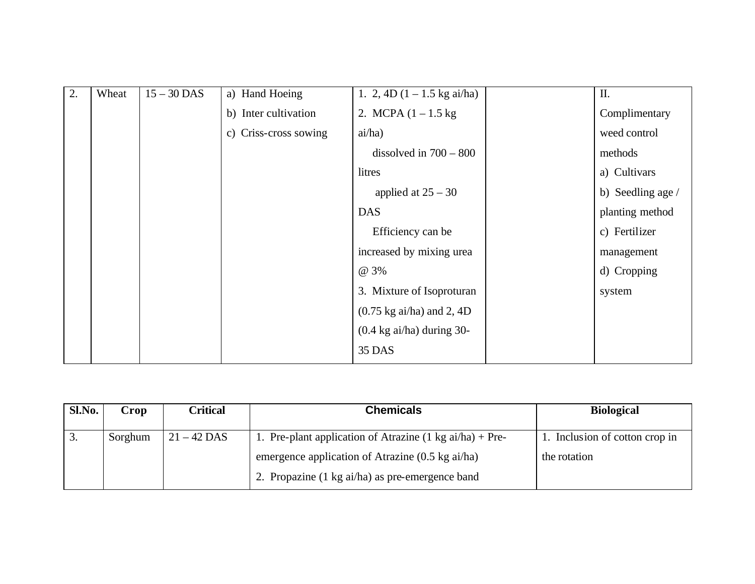| 2. | Wheat | $15 - 30$ DAS | a) Hand Hoeing        | 1. 2, 4D $(1 - 1.5 \text{ kg ai/ha})$       | Π.                |
|----|-------|---------------|-----------------------|---------------------------------------------|-------------------|
|    |       |               | b) Inter cultivation  | 2. MCPA $(1 - 1.5 \text{ kg})$              | Complimentary     |
|    |       |               | c) Criss-cross sowing | ai/ha)                                      | weed control      |
|    |       |               |                       | dissolved in $700 - 800$                    | methods           |
|    |       |               |                       | litres                                      | a) Cultivars      |
|    |       |               |                       | applied at $25 - 30$                        | b) Seedling age / |
|    |       |               |                       | <b>DAS</b>                                  | planting method   |
|    |       |               |                       | Efficiency can be                           | c) Fertilizer     |
|    |       |               |                       | increased by mixing urea                    | management        |
|    |       |               |                       | @ 3%                                        | d) Cropping       |
|    |       |               |                       | 3. Mixture of Isoproturan                   | system            |
|    |       |               |                       | $(0.75 \text{ kg ai/ha})$ and 2, 4D         |                   |
|    |       |               |                       | $(0.4 \text{ kg} \text{ ai/ha})$ during 30- |                   |
|    |       |               |                       | 35 DAS                                      |                   |

| Sl.No.           | Crop    | Critical      | <b>Chemicals</b>                                                   | <b>Biological</b>              |
|------------------|---------|---------------|--------------------------------------------------------------------|--------------------------------|
| $\overline{3}$ . | Sorghum | $21 - 42$ DAS | 1. Pre-plant application of Atrazine $(1 \text{ kg ai/ha}) +$ Pre- | 1. Inclusion of cotton crop in |
|                  |         |               | emergence application of Atrazine $(0.5 \text{ kg ai/ha})$         | the rotation                   |
|                  |         |               | 2. Propazine (1 kg ai/ha) as pre-emergence band                    |                                |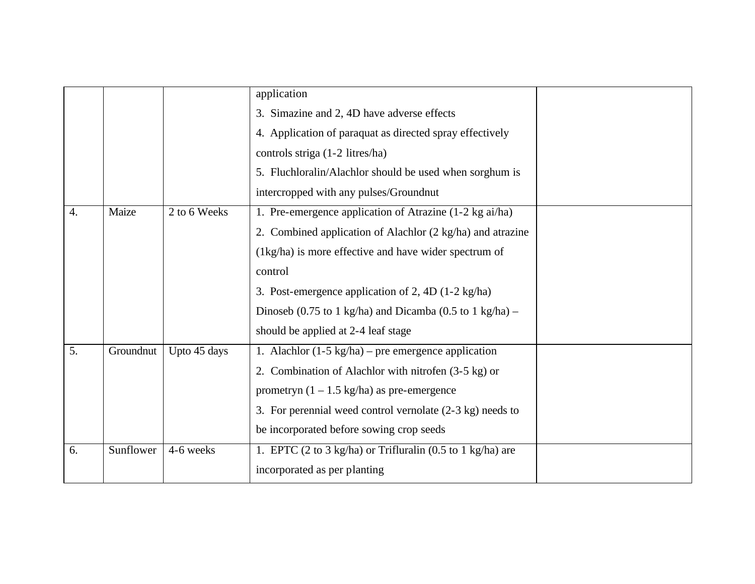|                  |           |              | application                                                   |  |
|------------------|-----------|--------------|---------------------------------------------------------------|--|
|                  |           |              | 3. Simazine and 2, 4D have adverse effects                    |  |
|                  |           |              | 4. Application of paraquat as directed spray effectively      |  |
|                  |           |              | controls striga (1-2 litres/ha)                               |  |
|                  |           |              | 5. Fluchloralin/Alachlor should be used when sorghum is       |  |
|                  |           |              | intercropped with any pulses/Groundnut                        |  |
| $\overline{4}$ . | Maize     | 2 to 6 Weeks | 1. Pre-emergence application of Atrazine (1-2 kg ai/ha)       |  |
|                  |           |              | 2. Combined application of Alachlor (2 kg/ha) and atrazine    |  |
|                  |           |              | (1kg/ha) is more effective and have wider spectrum of         |  |
|                  |           |              | control                                                       |  |
|                  |           |              | 3. Post-emergence application of 2, 4D (1-2 kg/ha)            |  |
|                  |           |              | Dinoseb (0.75 to 1 kg/ha) and Dicamba (0.5 to 1 kg/ha) –      |  |
|                  |           |              | should be applied at 2-4 leaf stage                           |  |
| $\overline{5}$ . | Groundnut | Upto 45 days | 1. Alachlor $(1-5 \text{ kg/ha})$ – pre emergence application |  |
|                  |           |              | 2. Combination of Alachlor with nitrofen (3-5 kg) or          |  |
|                  |           |              | prometryn $(1 - 1.5 \text{ kg/ha})$ as pre-emergence          |  |
|                  |           |              | 3. For perennial weed control vernolate (2-3 kg) needs to     |  |
|                  |           |              | be incorporated before sowing crop seeds                      |  |
| 6.               | Sunflower | 4-6 weeks    | 1. EPTC (2 to 3 kg/ha) or Trifluralin (0.5 to 1 kg/ha) are    |  |
|                  |           |              | incorporated as per planting                                  |  |
|                  |           |              |                                                               |  |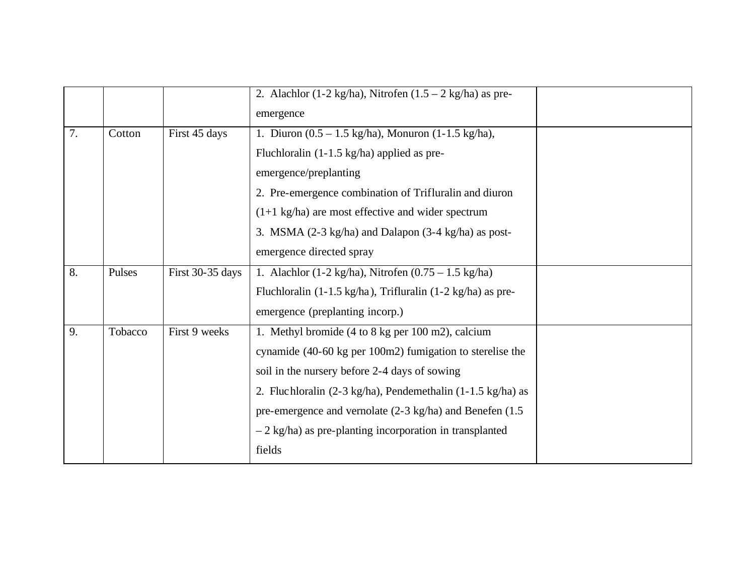|    |         |                  | 2. Alachlor (1-2 kg/ha), Nitrofen (1.5 – 2 kg/ha) as pre-                        |  |
|----|---------|------------------|----------------------------------------------------------------------------------|--|
|    |         |                  | emergence                                                                        |  |
| 7. | Cotton  | First 45 days    | 1. Diuron $(0.5 - 1.5 \text{ kg/ha})$ , Monuron $(1-1.5 \text{ kg/ha})$ ,        |  |
|    |         |                  | Fluchloralin $(1-1.5 \text{ kg/ha})$ applied as pre-                             |  |
|    |         |                  | emergence/preplanting                                                            |  |
|    |         |                  | 2. Pre-emergence combination of Trifluralin and diuron                           |  |
|    |         |                  | $(1+1 \text{ kg/ha})$ are most effective and wider spectrum                      |  |
|    |         |                  | 3. MSMA (2-3 kg/ha) and Dalapon (3-4 kg/ha) as post-                             |  |
|    |         |                  | emergence directed spray                                                         |  |
| 8. | Pulses  | First 30-35 days | 1. Alachlor (1-2 kg/ha), Nitrofen (0.75 – 1.5 kg/ha)                             |  |
|    |         |                  | Fluchloralin $(1-1.5 \text{ kg/ha})$ , Trifluralin $(1-2 \text{ kg/ha})$ as pre- |  |
|    |         |                  | emergence (preplanting incorp.)                                                  |  |
| 9. | Tobacco | First 9 weeks    | 1. Methyl bromide (4 to 8 kg per 100 m2), calcium                                |  |
|    |         |                  | cynamide (40-60 kg per 100m2) fumigation to sterelise the                        |  |
|    |         |                  | soil in the nursery before 2-4 days of sowing                                    |  |
|    |         |                  | 2. Fluchloralin (2-3 kg/ha), Pendemethalin (1-1.5 kg/ha) as                      |  |
|    |         |                  | pre-emergence and vernolate (2-3 kg/ha) and Benefen (1.5                         |  |
|    |         |                  | $-2$ kg/ha) as pre-planting incorporation in transplanted                        |  |
|    |         |                  | fields                                                                           |  |
|    |         |                  |                                                                                  |  |